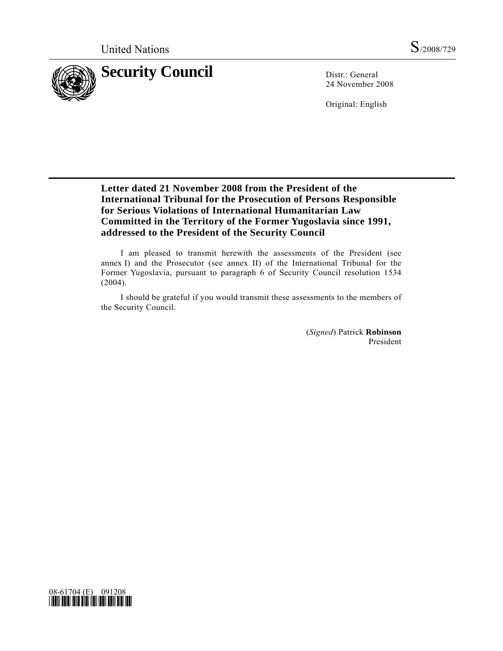

24 November 2008

Original: English

# **Letter dated 21 November 2008 from the President of the International Tribunal for the Prosecution of Persons Responsible for Serious Violations of International Humanitarian Law Committed in the Territory of the Former Yugoslavia since 1991, addressed to the President of the Security Council**

 I am pleased to transmit herewith the assessments of the President (see annex I) and the Prosecutor (see annex II) of the International Tribunal for the Former Yugoslavia, pursuant to paragraph 6 of Security Council resolution 1534 (2004).

 I should be grateful if you would transmit these assessments to the members of the Security Council.

> (*Signed*) Patrick **Robinson** President

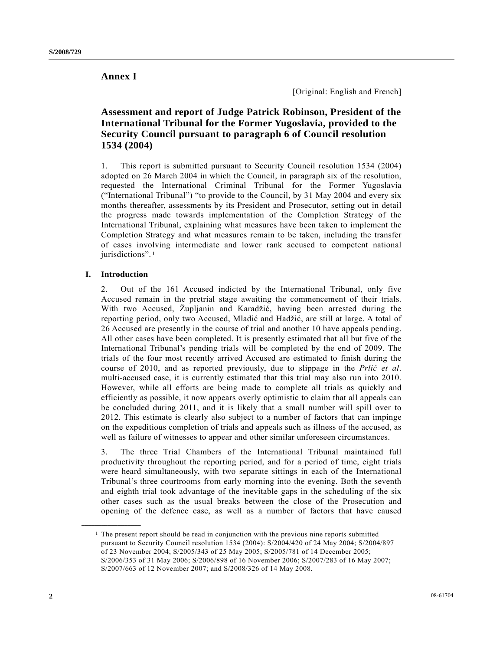## **Annex I**

[Original: English and French]

# **Assessment and report of Judge Patrick Robinson, President of the International Tribunal for the Former Yugoslavia, provided to the Security Council pursuant to paragraph 6 of Council resolution 1534 (2004)**

1. This report is submitted pursuant to Security Council resolution 1534 (2004) adopted on 26 March 2004 in which the Council, in paragraph six of the resolution, requested the International Criminal Tribunal for the Former Yugoslavia ("International Tribunal") "to provide to the Council, by 31 May 2004 and every six months thereafter, assessments by its President and Prosecutor, setting out in detail the progress made towards implementation of the Completion Strategy of the International Tribunal, explaining what measures have been taken to implement the Completion Strategy and what measures remain to be taken, including the transfer of cases involving intermediate and lower rank accused to competent national jurisdictions".<sup>1</sup>

## **I. Introduction**

<span id="page-1-0"></span>**\_\_\_\_\_\_\_\_\_\_\_\_\_\_\_\_\_\_** 

2. Out of the 161 Accused indicted by the International Tribunal, only five Accused remain in the pretrial stage awaiting the commencement of their trials. With two Accused, Župljanin and Karadžić, having been arrested during the reporting period, only two Accused, Mladić and Hadžić, are still at large. A total of 26 Accused are presently in the course of trial and another 10 have appeals pending. All other cases have been completed. It is presently estimated that all but five of the International Tribunal's pending trials will be completed by the end of 2009. The trials of the four most recently arrived Accused are estimated to finish during the course of 2010, and as reported previously, due to slippage in the *Prlić et al*. multi-accused case, it is currently estimated that this trial may also run into 2010. However, while all efforts are being made to complete all trials as quickly and efficiently as possible, it now appears overly optimistic to claim that all appeals can be concluded during 2011, and it is likely that a small number will spill over to 2012. This estimate is clearly also subject to a number of factors that can impinge on the expeditious completion of trials and appeals such as illness of the accused, as well as failure of witnesses to appear and other similar unforeseen circumstances.

3. The three Trial Chambers of the International Tribunal maintained full productivity throughout the reporting period, and for a period of time, eight trials were heard simultaneously, with two separate sittings in each of the International Tribunal's three courtrooms from early morning into the evening. Both the seventh and eighth trial took advantage of the inevitable gaps in the scheduling of the six other cases such as the usual breaks between the close of the Prosecution and opening of the defence case, as well as a number of factors that have caused

 $<sup>1</sup>$  The present report should be read in conjunction with the previous nine reports submitted</sup> pursuant to Security Council resolution 1534 (2004): S/2004/420 of 24 May 2004; S/2004/897 of 23 November 2004; S/2005/343 of 25 May 2005; S/2005/781 of 14 December 2005; S/2006/353 of 31 May 2006; S/2006/898 of 16 November 2006; S/2007/283 of 16 May 2007; S/2007/663 of 12 November 2007; and S/2008/326 of 14 May 2008.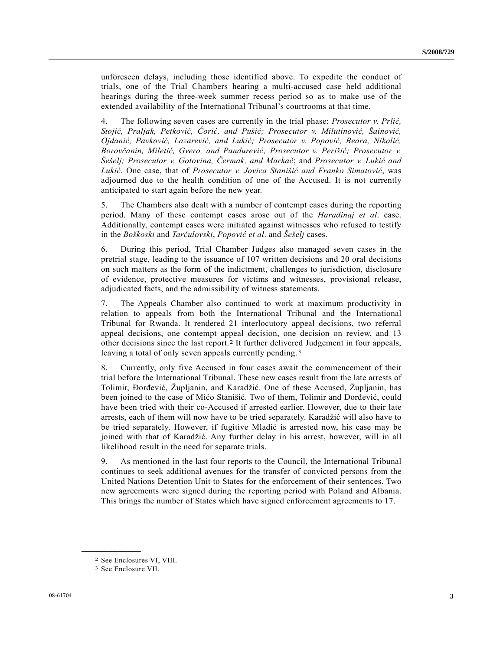unforeseen delays, including those identified above. To expedite the conduct of trials, one of the Trial Chambers hearing a multi-accused case held additional hearings during the three-week summer recess period so as to make use of the extended availability of the International Tribunal's courtrooms at that time.

4. The following seven cases are currently in the trial phase: *Prosecutor v. Prlić, Stojić, Praljak, Petković, Ćorić, and Pušić; Prosecutor v. Milutinović, Šainović, Ojdanić, Pavković, Lazarević, and Lukić; Prosecutor v. Popović, Beara, Nikolić, Borovčanin, Miletić, Gvero, and Pandurević; Prosecutor v. Perišić; Prosecutor v. Šešelj; Prosecutor v. Gotovina, Čermak, and Markač*; and *Prosecutor v. Lukić and Lukić*. One case, that of *Prosecutor v. Jovica Stanišić and Franko Simatović*, was adjourned due to the health condition of one of the Accused. It is not currently anticipated to start again before the new year.

5. The Chambers also dealt with a number of contempt cases during the reporting period. Many of these contempt cases arose out of the *Haradinaj et al*. case. Additionally, contempt cases were initiated against witnesses who refused to testify in the *Boškoski* and *Tarčulovski*, *Popović et al*. and *Šešelj* cases.

6. During this period, Trial Chamber Judges also managed seven cases in the pretrial stage, leading to the issuance of 107 written decisions and 20 oral decisions on such matters as the form of the indictment, challenges to jurisdiction, disclosure of evidence, protective measures for victims and witnesses, provisional release, adjudicated facts, and the admissibility of witness statements.

7. The Appeals Chamber also continued to work at maximum productivity in relation to appeals from both the International Tribunal and the International Tribunal for Rwanda. It rendered 21 interlocutory appeal decisions, two referral appeal decisions, one contempt appeal decision, one decision on review, and 13 other decisions since the last report.[2](#page-2-0) It further delivered Judgement in four appeals, leaving a total of only seven appeals currently pending.<sup>3</sup>

8. Currently, only five Accused in four cases await the commencement of their trial before the International Tribunal. These new cases result from the late arrests of Tolimir, Đorđević, Župljanin, and Karadžić. One of these Accused, Župljanin, has been joined to the case of Mićo Stanišić. Two of them, Tolimir and Đorđević, could have been tried with their co-Accused if arrested earlier. However, due to their late arrests, each of them will now have to be tried separately. Karadžić will also have to be tried separately. However, if fugitive Mladić is arrested now, his case may be joined with that of Karadžić. Any further delay in his arrest, however, will in all likelihood result in the need for separate trials.

9. As mentioned in the last four reports to the Council, the International Tribunal continues to seek additional avenues for the transfer of convicted persons from the United Nations Detention Unit to States for the enforcement of their sentences. Two new agreements were signed during the reporting period with Poland and Albania. This brings the number of States which have signed enforcement agreements to 17.

<span id="page-2-0"></span><sup>2</sup> See Enclosures VI, VIII.

<span id="page-2-1"></span><sup>3</sup> See Enclosure VII.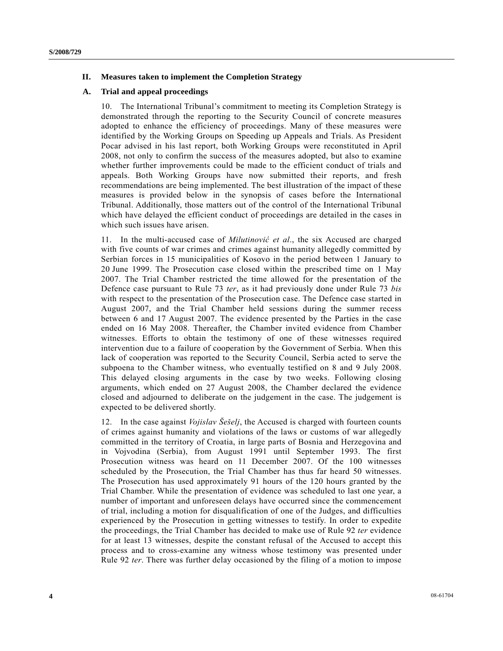## **II. Measures taken to implement the Completion Strategy**

#### **A. Trial and appeal proceedings**

10. The International Tribunal's commitment to meeting its Completion Strategy is demonstrated through the reporting to the Security Council of concrete measures adopted to enhance the efficiency of proceedings. Many of these measures were identified by the Working Groups on Speeding up Appeals and Trials. As President Pocar advised in his last report, both Working Groups were reconstituted in April 2008, not only to confirm the success of the measures adopted, but also to examine whether further improvements could be made to the efficient conduct of trials and appeals. Both Working Groups have now submitted their reports, and fresh recommendations are being implemented. The best illustration of the impact of these measures is provided below in the synopsis of cases before the International Tribunal. Additionally, those matters out of the control of the International Tribunal which have delayed the efficient conduct of proceedings are detailed in the cases in which such issues have arisen.

11. In the multi-accused case of *Milutinović et al*., the six Accused are charged with five counts of war crimes and crimes against humanity allegedly committed by Serbian forces in 15 municipalities of Kosovo in the period between 1 January to 20 June 1999. The Prosecution case closed within the prescribed time on 1 May 2007. The Trial Chamber restricted the time allowed for the presentation of the Defence case pursuant to Rule 73 *ter*, as it had previously done under Rule 73 *bis*  with respect to the presentation of the Prosecution case. The Defence case started in August 2007, and the Trial Chamber held sessions during the summer recess between 6 and 17 August 2007. The evidence presented by the Parties in the case ended on 16 May 2008. Thereafter, the Chamber invited evidence from Chamber witnesses. Efforts to obtain the testimony of one of these witnesses required intervention due to a failure of cooperation by the Government of Serbia. When this lack of cooperation was reported to the Security Council, Serbia acted to serve the subpoena to the Chamber witness, who eventually testified on 8 and 9 July 2008. This delayed closing arguments in the case by two weeks. Following closing arguments, which ended on 27 August 2008, the Chamber declared the evidence closed and adjourned to deliberate on the judgement in the case. The judgement is expected to be delivered shortly.

12. In the case against *Vojislav Šešelj*, the Accused is charged with fourteen counts of crimes against humanity and violations of the laws or customs of war allegedly committed in the territory of Croatia, in large parts of Bosnia and Herzegovina and in Vojvodina (Serbia), from August 1991 until September 1993. The first Prosecution witness was heard on 11 December 2007. Of the 100 witnesses scheduled by the Prosecution, the Trial Chamber has thus far heard 50 witnesses. The Prosecution has used approximately 91 hours of the 120 hours granted by the Trial Chamber. While the presentation of evidence was scheduled to last one year, a number of important and unforeseen delays have occurred since the commencement of trial, including a motion for disqualification of one of the Judges, and difficulties experienced by the Prosecution in getting witnesses to testify. In order to expedite the proceedings, the Trial Chamber has decided to make use of Rule 92 *ter* evidence for at least 13 witnesses, despite the constant refusal of the Accused to accept this process and to cross-examine any witness whose testimony was presented under Rule 92 *ter*. There was further delay occasioned by the filing of a motion to impose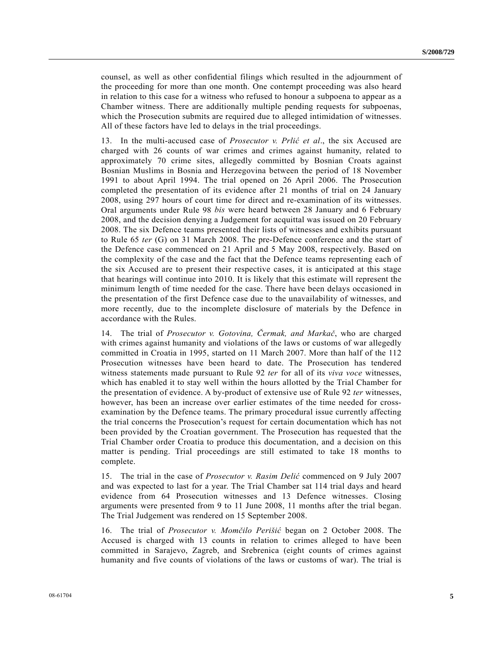counsel, as well as other confidential filings which resulted in the adjournment of the proceeding for more than one month. One contempt proceeding was also heard in relation to this case for a witness who refused to honour a subpoena to appear as a Chamber witness. There are additionally multiple pending requests for subpoenas, which the Prosecution submits are required due to alleged intimidation of witnesses. All of these factors have led to delays in the trial proceedings.

13. In the multi-accused case of *Prosecutor v. Prlić et al*., the six Accused are charged with 26 counts of war crimes and crimes against humanity, related to approximately 70 crime sites, allegedly committed by Bosnian Croats against Bosnian Muslims in Bosnia and Herzegovina between the period of 18 November 1991 to about April 1994. The trial opened on 26 April 2006. The Prosecution completed the presentation of its evidence after 21 months of trial on 24 January 2008, using 297 hours of court time for direct and re-examination of its witnesses. Oral arguments under Rule 98 *bis* were heard between 28 January and 6 February 2008, and the decision denying a Judgement for acquittal was issued on 20 February 2008. The six Defence teams presented their lists of witnesses and exhibits pursuant to Rule 65 *ter* (G) on 31 March 2008. The pre-Defence conference and the start of the Defence case commenced on 21 April and 5 May 2008, respectively. Based on the complexity of the case and the fact that the Defence teams representing each of the six Accused are to present their respective cases, it is anticipated at this stage that hearings will continue into 2010. It is likely that this estimate will represent the minimum length of time needed for the case. There have been delays occasioned in the presentation of the first Defence case due to the unavailability of witnesses, and more recently, due to the incomplete disclosure of materials by the Defence in accordance with the Rules.

14. The trial of *Prosecutor v. Gotovina, Čermak, and Markač*, who are charged with crimes against humanity and violations of the laws or customs of war allegedly committed in Croatia in 1995, started on 11 March 2007. More than half of the 112 Prosecution witnesses have been heard to date. The Prosecution has tendered witness statements made pursuant to Rule 92 *ter* for all of its *viva voce* witnesses, which has enabled it to stay well within the hours allotted by the Trial Chamber for the presentation of evidence. A by-product of extensive use of Rule 92 *ter* witnesses, however, has been an increase over earlier estimates of the time needed for crossexamination by the Defence teams. The primary procedural issue currently affecting the trial concerns the Prosecution's request for certain documentation which has not been provided by the Croatian government. The Prosecution has requested that the Trial Chamber order Croatia to produce this documentation, and a decision on this matter is pending. Trial proceedings are still estimated to take 18 months to complete.

15. The trial in the case of *Prosecutor v. Rasim Delić* commenced on 9 July 2007 and was expected to last for a year. The Trial Chamber sat 114 trial days and heard evidence from 64 Prosecution witnesses and 13 Defence witnesses. Closing arguments were presented from 9 to 11 June 2008, 11 months after the trial began. The Trial Judgement was rendered on 15 September 2008.

16. The trial of *Prosecutor v. Momčilo Perišić* began on 2 October 2008. The Accused is charged with 13 counts in relation to crimes alleged to have been committed in Sarajevo, Zagreb, and Srebrenica (eight counts of crimes against humanity and five counts of violations of the laws or customs of war). The trial is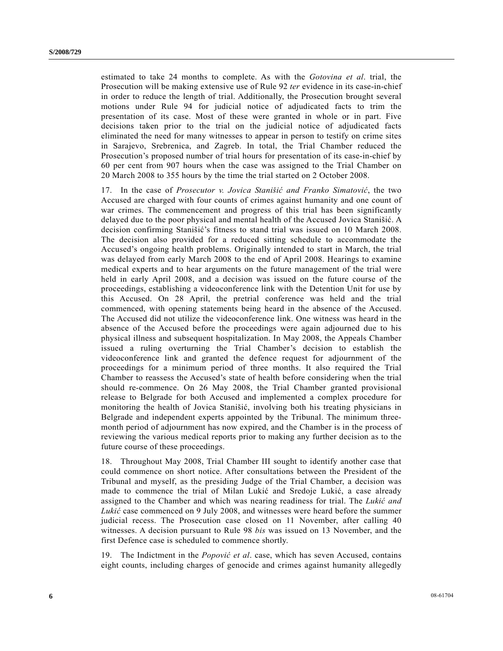estimated to take 24 months to complete. As with the *Gotovina et al*. trial, the Prosecution will be making extensive use of Rule 92 *ter* evidence in its case-in-chief in order to reduce the length of trial. Additionally, the Prosecution brought several motions under Rule 94 for judicial notice of adjudicated facts to trim the presentation of its case. Most of these were granted in whole or in part. Five decisions taken prior to the trial on the judicial notice of adjudicated facts eliminated the need for many witnesses to appear in person to testify on crime sites in Sarajevo, Srebrenica, and Zagreb. In total, the Trial Chamber reduced the Prosecution's proposed number of trial hours for presentation of its case-in-chief by 60 per cent from 907 hours when the case was assigned to the Trial Chamber on 20 March 2008 to 355 hours by the time the trial started on 2 October 2008.

17. In the case of *Prosecutor v. Jovica Stanišić and Franko Simatović*, the two Accused are charged with four counts of crimes against humanity and one count of war crimes. The commencement and progress of this trial has been significantly delayed due to the poor physical and mental health of the Accused Jovica Stanišić. A decision confirming Stanišić's fitness to stand trial was issued on 10 March 2008. The decision also provided for a reduced sitting schedule to accommodate the Accused's ongoing health problems. Originally intended to start in March, the trial was delayed from early March 2008 to the end of April 2008. Hearings to examine medical experts and to hear arguments on the future management of the trial were held in early April 2008, and a decision was issued on the future course of the proceedings, establishing a videoconference link with the Detention Unit for use by this Accused. On 28 April, the pretrial conference was held and the trial commenced, with opening statements being heard in the absence of the Accused. The Accused did not utilize the videoconference link. One witness was heard in the absence of the Accused before the proceedings were again adjourned due to his physical illness and subsequent hospitalization. In May 2008, the Appeals Chamber issued a ruling overturning the Trial Chamber's decision to establish the videoconference link and granted the defence request for adjournment of the proceedings for a minimum period of three months. It also required the Trial Chamber to reassess the Accused's state of health before considering when the trial should re-commence. On 26 May 2008, the Trial Chamber granted provisional release to Belgrade for both Accused and implemented a complex procedure for monitoring the health of Jovica Stanišić, involving both his treating physicians in Belgrade and independent experts appointed by the Tribunal. The minimum threemonth period of adjournment has now expired, and the Chamber is in the process of reviewing the various medical reports prior to making any further decision as to the future course of these proceedings.

18. Throughout May 2008, Trial Chamber III sought to identify another case that could commence on short notice. After consultations between the President of the Tribunal and myself, as the presiding Judge of the Trial Chamber, a decision was made to commence the trial of Milan Lukić and Sredoje Lukić, a case already assigned to the Chamber and which was nearing readiness for trial. The *Lukić and Lukić* case commenced on 9 July 2008, and witnesses were heard before the summer judicial recess. The Prosecution case closed on 11 November, after calling 40 witnesses. A decision pursuant to Rule 98 *bis* was issued on 13 November, and the first Defence case is scheduled to commence shortly.

19. The Indictment in the *Popović et al*. case, which has seven Accused, contains eight counts, including charges of genocide and crimes against humanity allegedly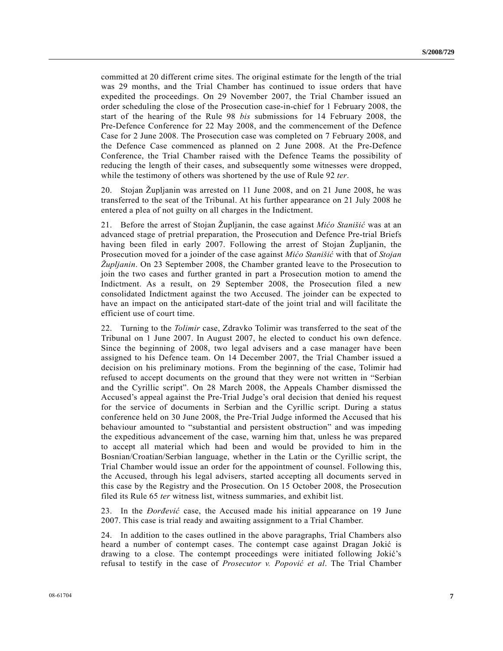committed at 20 different crime sites. The original estimate for the length of the trial was 29 months, and the Trial Chamber has continued to issue orders that have expedited the proceedings. On 29 November 2007, the Trial Chamber issued an order scheduling the close of the Prosecution case-in-chief for 1 February 2008, the start of the hearing of the Rule 98 *bis* submissions for 14 February 2008, the Pre-Defence Conference for 22 May 2008, and the commencement of the Defence Case for 2 June 2008. The Prosecution case was completed on 7 February 2008, and the Defence Case commenced as planned on 2 June 2008. At the Pre-Defence Conference, the Trial Chamber raised with the Defence Teams the possibility of reducing the length of their cases, and subsequently some witnesses were dropped, while the testimony of others was shortened by the use of Rule 92 *ter*.

20. Stojan Župljanin was arrested on 11 June 2008, and on 21 June 2008, he was transferred to the seat of the Tribunal. At his further appearance on 21 July 2008 he entered a plea of not guilty on all charges in the Indictment.

21. Before the arrest of Stojan Župljanin, the case against *Mićo Stanišić* was at an advanced stage of pretrial preparation, the Prosecution and Defence Pre-trial Briefs having been filed in early 2007. Following the arrest of Stojan Župljanin, the Prosecution moved for a joinder of the case against *Mićo Stanišić* with that of *Stojan Župljanin*. On 23 September 2008, the Chamber granted leave to the Prosecution to join the two cases and further granted in part a Prosecution motion to amend the Indictment. As a result, on 29 September 2008, the Prosecution filed a new consolidated Indictment against the two Accused. The joinder can be expected to have an impact on the anticipated start-date of the joint trial and will facilitate the efficient use of court time.

22. Turning to the *Tolimir* case, Zdravko Tolimir was transferred to the seat of the Tribunal on 1 June 2007. In August 2007, he elected to conduct his own defence. Since the beginning of 2008, two legal advisers and a case manager have been assigned to his Defence team. On 14 December 2007, the Trial Chamber issued a decision on his preliminary motions. From the beginning of the case, Tolimir had refused to accept documents on the ground that they were not written in "Serbian and the Cyrillic script". On 28 March 2008, the Appeals Chamber dismissed the Accused's appeal against the Pre-Trial Judge's oral decision that denied his request for the service of documents in Serbian and the Cyrillic script. During a status conference held on 30 June 2008, the Pre-Trial Judge informed the Accused that his behaviour amounted to "substantial and persistent obstruction" and was impeding the expeditious advancement of the case, warning him that, unless he was prepared to accept all material which had been and would be provided to him in the Bosnian/Croatian/Serbian language, whether in the Latin or the Cyrillic script, the Trial Chamber would issue an order for the appointment of counsel. Following this, the Accused, through his legal advisers, started accepting all documents served in this case by the Registry and the Prosecution. On 15 October 2008, the Prosecution filed its Rule 65 *ter* witness list, witness summaries, and exhibit list.

23. In the *Ðorđević* case, the Accused made his initial appearance on 19 June 2007. This case is trial ready and awaiting assignment to a Trial Chamber.

24. In addition to the cases outlined in the above paragraphs, Trial Chambers also heard a number of contempt cases. The contempt case against Dragan Jokić is drawing to a close. The contempt proceedings were initiated following Jokić's refusal to testify in the case of *Prosecutor v. Popović et al*. The Trial Chamber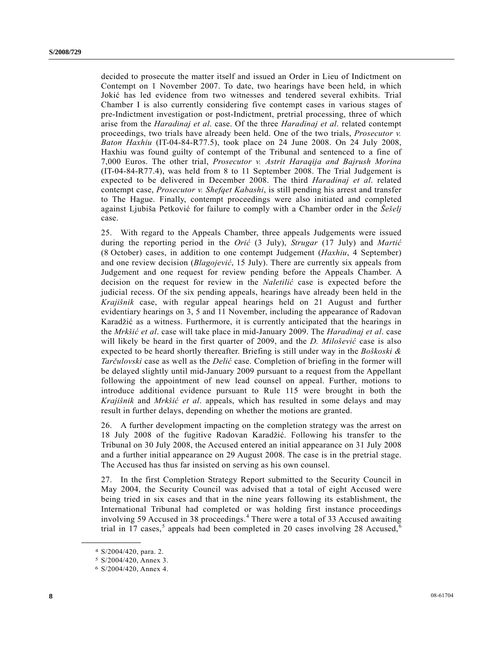<span id="page-7-0"></span>decided to prosecute the matter itself and issued an Order in Lieu of Indictment on Contempt on 1 November 2007. To date, two hearings have been held, in which Jokić has led evidence from two witnesses and tendered several exhibits. Trial Chamber I is also currently considering five contempt cases in various stages of pre-Indictment investigation or post-Indictment, pretrial processing, three of which arise from the *Haradinaj et al*. case. Of the three *Haradinaj et al*. related contempt proceedings, two trials have already been held. One of the two trials, *Prosecutor v. Baton Haxhiu* (IT-04-84-R77.5), took place on 24 June 2008. On 24 July 2008, Haxhiu was found guilty of contempt of the Tribunal and sentenced to a fine of 7,000 Euros. The other trial, *Prosecutor v. Astrit Haraqija and Bajrush Morina* (IT-04-84-R77.4), was held from 8 to 11 September 2008. The Trial Judgement is expected to be delivered in December 2008. The third *Haradinaj et al*. related contempt case, *Prosecutor v. Shefqet Kabashi*, is still pending his arrest and transfer to The Hague. Finally, contempt proceedings were also initiated and completed against Ljubiša Petković for failure to comply with a Chamber order in the *Šešelj* case.

25. With regard to the Appeals Chamber, three appeals Judgements were issued during the reporting period in the *Orić* (3 July), *Strugar* (17 July) and *Martić* (8 October) cases, in addition to one contempt Judgement (*Haxhiu*, 4 September) and one review decision (*Blagojević*, 15 July). There are currently six appeals from Judgement and one request for review pending before the Appeals Chamber. A decision on the request for review in the *Naletilić* case is expected before the judicial recess. Of the six pending appeals, hearings have already been held in the *Krajišnik* case, with regular appeal hearings held on 21 August and further evidentiary hearings on 3, 5 and 11 November, including the appearance of Radovan Karadžić as a witness. Furthermore, it is currently anticipated that the hearings in the *Mrkšić et al*. case will take place in mid-January 2009. The *Haradinaj et al*. case will likely be heard in the first quarter of 2009, and the *D. Milošević* case is also expected to be heard shortly thereafter. Briefing is still under way in the *Boškoski & Tarčulovski* case as well as the *Delić* case. Completion of briefing in the former will be delayed slightly until mid-January 2009 pursuant to a request from the Appellant following the appointment of new lead counsel on appeal. Further, motions to introduce additional evidence pursuant to Rule 115 were brought in both the *Krajišnik* and *Mrkšić et al*. appeals, which has resulted in some delays and may result in further delays, depending on whether the motions are granted.

26. A further development impacting on the completion strategy was the arrest on 18 July 2008 of the fugitive Radovan Karadžić. Following his transfer to the Tribunal on 30 July 2008, the Accused entered an initial appearance on 31 July 2008 and a further initial appearance on 29 August 2008. The case is in the pretrial stage. The Accused has thus far insisted on serving as his own counsel.

27. In the first Completion Strategy Report submitted to the Security Council in May 2004, the Security Council was advised that a total of eight Accused were being tried in six cases and that in the nine years following its establishment, the International Tribunal had completed or was holding first instance proceedings involving 59 Accused in 38 proceedings.<sup>[4](#page-7-0)</sup> There were a total of 33 Accused awaiting trial in 17 cases,<sup>[5](#page-7-0)</sup> appeals had been completed in 20 cases involving 28 Accused,<sup>[6](#page-7-0)</sup>

<sup>4</sup> S/2004/420, para. 2.

<sup>5</sup> S/2004/420, Annex 3.

<sup>6</sup> S/2004/420, Annex 4.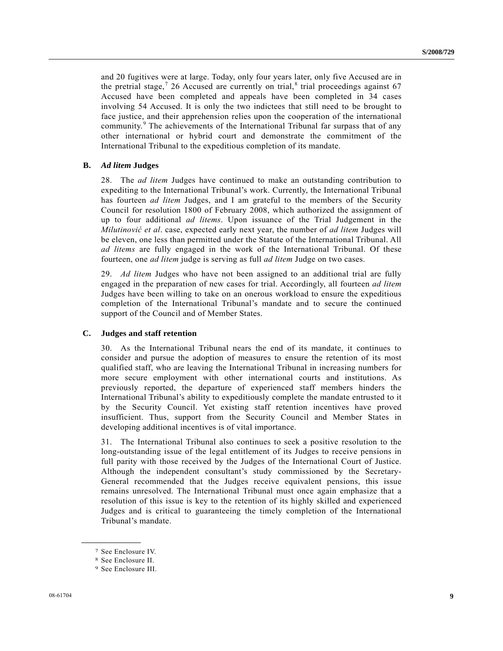<span id="page-8-0"></span>and 20 fugitives were at large. Today, only four years later, only five Accused are in the pretrial stage,<sup>[7](#page-8-0)</sup> 26 Accused are currently on trial,<sup>[8](#page-8-0)</sup> trial proceedings against 67 Accused have been completed and appeals have been completed in 34 cases involving 54 Accused. It is only the two indictees that still need to be brought to face justice, and their apprehension relies upon the cooperation of the international community.<sup>[9](#page-8-0)</sup> The achievements of the International Tribunal far surpass that of any other international or hybrid court and demonstrate the commitment of the International Tribunal to the expeditious completion of its mandate.

### **B.** *Ad litem* **Judges**

28. The *ad litem* Judges have continued to make an outstanding contribution to expediting to the International Tribunal's work. Currently, the International Tribunal has fourteen *ad litem* Judges, and I am grateful to the members of the Security Council for resolution 1800 of February 2008, which authorized the assignment of up to four additional *ad litems*. Upon issuance of the Trial Judgement in the *Milutinović et al*. case, expected early next year, the number of *ad litem* Judges will be eleven, one less than permitted under the Statute of the International Tribunal. All *ad litems* are fully engaged in the work of the International Tribunal. Of these fourteen, one *ad litem* judge is serving as full *ad litem* Judge on two cases.

29. *Ad litem* Judges who have not been assigned to an additional trial are fully engaged in the preparation of new cases for trial. Accordingly, all fourteen *ad litem* Judges have been willing to take on an onerous workload to ensure the expeditious completion of the International Tribunal's mandate and to secure the continued support of the Council and of Member States.

#### **C. Judges and staff retention**

30. As the International Tribunal nears the end of its mandate, it continues to consider and pursue the adoption of measures to ensure the retention of its most qualified staff, who are leaving the International Tribunal in increasing numbers for more secure employment with other international courts and institutions. As previously reported, the departure of experienced staff members hinders the International Tribunal's ability to expeditiously complete the mandate entrusted to it by the Security Council. Yet existing staff retention incentives have proved insufficient. Thus, support from the Security Council and Member States in developing additional incentives is of vital importance.

31. The International Tribunal also continues to seek a positive resolution to the long-outstanding issue of the legal entitlement of its Judges to receive pensions in full parity with those received by the Judges of the International Court of Justice. Although the independent consultant's study commissioned by the Secretary-General recommended that the Judges receive equivalent pensions, this issue remains unresolved. The International Tribunal must once again emphasize that a resolution of this issue is key to the retention of its highly skilled and experienced Judges and is critical to guaranteeing the timely completion of the International Tribunal's mandate.

<sup>7</sup> See Enclosure IV.

<sup>8</sup> See Enclosure II.

<sup>9</sup> See Enclosure III.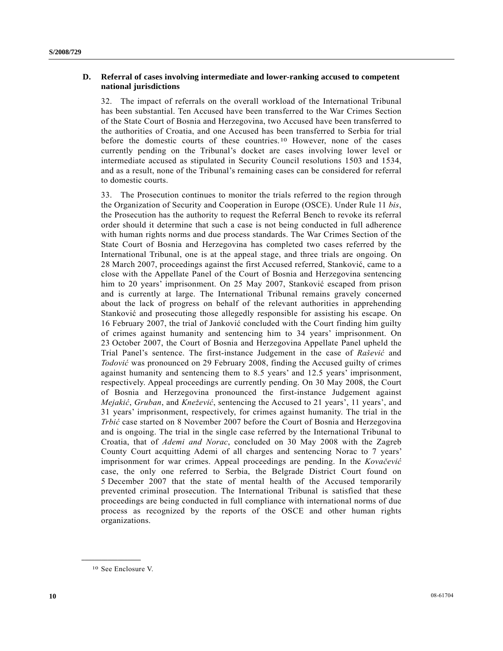## <span id="page-9-0"></span> **D. Referral of cases involving intermediate and lower-ranking accused to competent national jurisdictions**

32. The impact of referrals on the overall workload of the International Tribunal has been substantial. Ten Accused have been transferred to the War Crimes Section of the State Court of Bosnia and Herzegovina, two Accused have been transferred to the authorities of Croatia, and one Accused has been transferred to Serbia for trial before the domestic courts of these countries.[1](#page-9-0)0 However, none of the cases currently pending on the Tribunal's docket are cases involving lower level or intermediate accused as stipulated in Security Council resolutions 1503 and 1534, and as a result, none of the Tribunal's remaining cases can be considered for referral to domestic courts.

33. The Prosecution continues to monitor the trials referred to the region through the Organization of Security and Cooperation in Europe (OSCE). Under Rule 11 *bis*, the Prosecution has the authority to request the Referral Bench to revoke its referral order should it determine that such a case is not being conducted in full adherence with human rights norms and due process standards. The War Crimes Section of the State Court of Bosnia and Herzegovina has completed two cases referred by the International Tribunal, one is at the appeal stage, and three trials are ongoing. On 28 March 2007, proceedings against the first Accused referred, Stanković, came to a close with the Appellate Panel of the Court of Bosnia and Herzegovina sentencing him to 20 years' imprisonment. On 25 May 2007, Stanković escaped from prison and is currently at large. The International Tribunal remains gravely concerned about the lack of progress on behalf of the relevant authorities in apprehending Stanković and prosecuting those allegedly responsible for assisting his escape. On 16 February 2007, the trial of Janković concluded with the Court finding him guilty of crimes against humanity and sentencing him to 34 years' imprisonment. On 23 October 2007, the Court of Bosnia and Herzegovina Appellate Panel upheld the Trial Panel's sentence. The first-instance Judgement in the case of *Rašević* and *Todović* was pronounced on 29 February 2008, finding the Accused guilty of crimes against humanity and sentencing them to 8.5 years' and 12.5 years' imprisonment, respectively. Appeal proceedings are currently pending. On 30 May 2008, the Court of Bosnia and Herzegovina pronounced the first-instance Judgement against *Mejakić*, *Gruban*, and *Knežević*, sentencing the Accused to 21 years', 11 years', and 31 years' imprisonment, respectively, for crimes against humanity. The trial in the *Trbić* case started on 8 November 2007 before the Court of Bosnia and Herzegovina and is ongoing. The trial in the single case referred by the International Tribunal to Croatia, that of *Ademi and Norac*, concluded on 30 May 2008 with the Zagreb County Court acquitting Ademi of all charges and sentencing Norac to 7 years' imprisonment for war crimes. Appeal proceedings are pending. In the *Kovačević* case, the only one referred to Serbia, the Belgrade District Court found on 5 December 2007 that the state of mental health of the Accused temporarily prevented criminal prosecution. The International Tribunal is satisfied that these proceedings are being conducted in full compliance with international norms of due process as recognized by the reports of the OSCE and other human rights organizations.

10 See Enclosure V.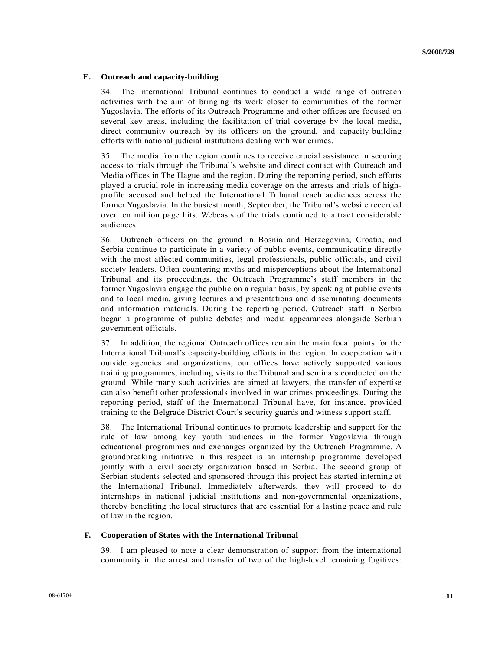## **E. Outreach and capacity-building**

34. The International Tribunal continues to conduct a wide range of outreach activities with the aim of bringing its work closer to communities of the former Yugoslavia. The efforts of its Outreach Programme and other offices are focused on several key areas, including the facilitation of trial coverage by the local media, direct community outreach by its officers on the ground, and capacity-building efforts with national judicial institutions dealing with war crimes.

35. The media from the region continues to receive crucial assistance in securing access to trials through the Tribunal's website and direct contact with Outreach and Media offices in The Hague and the region. During the reporting period, such efforts played a crucial role in increasing media coverage on the arrests and trials of highprofile accused and helped the International Tribunal reach audiences across the former Yugoslavia. In the busiest month, September, the Tribunal's website recorded over ten million page hits. Webcasts of the trials continued to attract considerable audiences.

36. Outreach officers on the ground in Bosnia and Herzegovina, Croatia, and Serbia continue to participate in a variety of public events, communicating directly with the most affected communities, legal professionals, public officials, and civil society leaders. Often countering myths and misperceptions about the International Tribunal and its proceedings, the Outreach Programme's staff members in the former Yugoslavia engage the public on a regular basis, by speaking at public events and to local media, giving lectures and presentations and disseminating documents and information materials. During the reporting period, Outreach staff in Serbia began a programme of public debates and media appearances alongside Serbian government officials.

37. In addition, the regional Outreach offices remain the main focal points for the International Tribunal's capacity-building efforts in the region. In cooperation with outside agencies and organizations, our offices have actively supported various training programmes, including visits to the Tribunal and seminars conducted on the ground. While many such activities are aimed at lawyers, the transfer of expertise can also benefit other professionals involved in war crimes proceedings. During the reporting period, staff of the International Tribunal have, for instance, provided training to the Belgrade District Court's security guards and witness support staff.

38. The International Tribunal continues to promote leadership and support for the rule of law among key youth audiences in the former Yugoslavia through educational programmes and exchanges organized by the Outreach Programme. A groundbreaking initiative in this respect is an internship programme developed jointly with a civil society organization based in Serbia. The second group of Serbian students selected and sponsored through this project has started interning at the International Tribunal. Immediately afterwards, they will proceed to do internships in national judicial institutions and non-governmental organizations, thereby benefiting the local structures that are essential for a lasting peace and rule of law in the region.

#### **F. Cooperation of States with the International Tribunal**

39. I am pleased to note a clear demonstration of support from the international community in the arrest and transfer of two of the high-level remaining fugitives: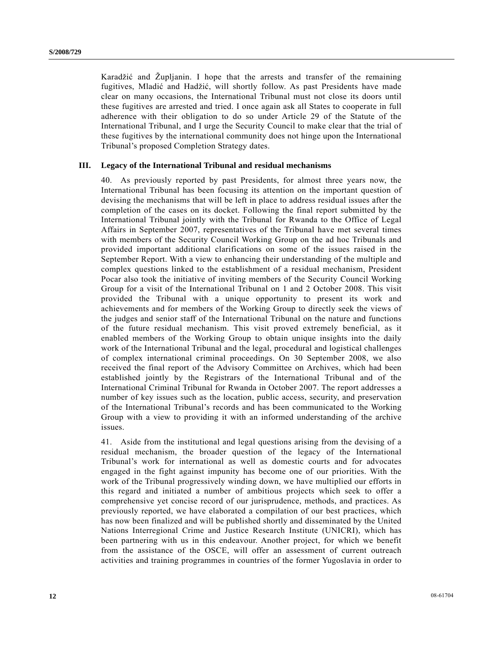Karadžić and Župljanin. I hope that the arrests and transfer of the remaining fugitives, Mladić and Hadžić, will shortly follow. As past Presidents have made clear on many occasions, the International Tribunal must not close its doors until these fugitives are arrested and tried. I once again ask all States to cooperate in full adherence with their obligation to do so under Article 29 of the Statute of the International Tribunal, and I urge the Security Council to make clear that the trial of these fugitives by the international community does not hinge upon the International Tribunal's proposed Completion Strategy dates.

## **III. Legacy of the International Tribunal and residual mechanisms**

40. As previously reported by past Presidents, for almost three years now, the International Tribunal has been focusing its attention on the important question of devising the mechanisms that will be left in place to address residual issues after the completion of the cases on its docket. Following the final report submitted by the International Tribunal jointly with the Tribunal for Rwanda to the Office of Legal Affairs in September 2007, representatives of the Tribunal have met several times with members of the Security Council Working Group on the ad hoc Tribunals and provided important additional clarifications on some of the issues raised in the September Report. With a view to enhancing their understanding of the multiple and complex questions linked to the establishment of a residual mechanism, President Pocar also took the initiative of inviting members of the Security Council Working Group for a visit of the International Tribunal on 1 and 2 October 2008. This visit provided the Tribunal with a unique opportunity to present its work and achievements and for members of the Working Group to directly seek the views of the judges and senior staff of the International Tribunal on the nature and functions of the future residual mechanism. This visit proved extremely beneficial, as it enabled members of the Working Group to obtain unique insights into the daily work of the International Tribunal and the legal, procedural and logistical challenges of complex international criminal proceedings. On 30 September 2008, we also received the final report of the Advisory Committee on Archives, which had been established jointly by the Registrars of the International Tribunal and of the International Criminal Tribunal for Rwanda in October 2007. The report addresses a number of key issues such as the location, public access, security, and preservation of the International Tribunal's records and has been communicated to the Working Group with a view to providing it with an informed understanding of the archive issues.

41. Aside from the institutional and legal questions arising from the devising of a residual mechanism, the broader question of the legacy of the International Tribunal's work for international as well as domestic courts and for advocates engaged in the fight against impunity has become one of our priorities. With the work of the Tribunal progressively winding down, we have multiplied our efforts in this regard and initiated a number of ambitious projects which seek to offer a comprehensive yet concise record of our jurisprudence, methods, and practices. As previously reported, we have elaborated a compilation of our best practices, which has now been finalized and will be published shortly and disseminated by the United Nations Interregional Crime and Justice Research Institute (UNICRI), which has been partnering with us in this endeavour. Another project, for which we benefit from the assistance of the OSCE, will offer an assessment of current outreach activities and training programmes in countries of the former Yugoslavia in order to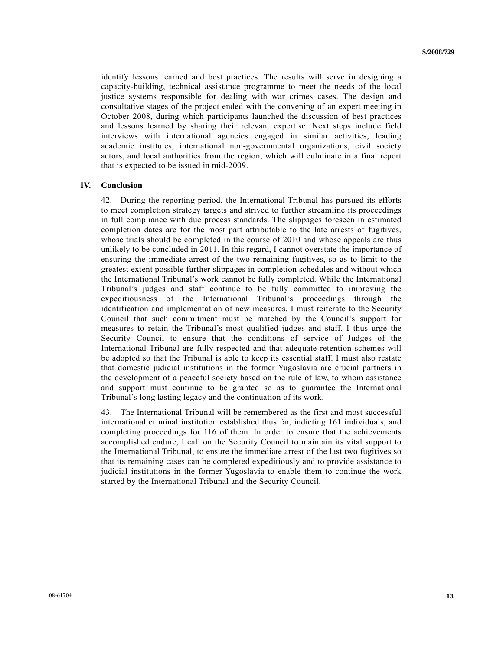identify lessons learned and best practices. The results will serve in designing a capacity-building, technical assistance programme to meet the needs of the local justice systems responsible for dealing with war crimes cases. The design and consultative stages of the project ended with the convening of an expert meeting in October 2008, during which participants launched the discussion of best practices and lessons learned by sharing their relevant expertise. Next steps include field interviews with international agencies engaged in similar activities, leading academic institutes, international non-governmental organizations, civil society actors, and local authorities from the region, which will culminate in a final report that is expected to be issued in mid-2009.

## **IV. Conclusion**

42. During the reporting period, the International Tribunal has pursued its efforts to meet completion strategy targets and strived to further streamline its proceedings in full compliance with due process standards. The slippages foreseen in estimated completion dates are for the most part attributable to the late arrests of fugitives, whose trials should be completed in the course of 2010 and whose appeals are thus unlikely to be concluded in 2011. In this regard, I cannot overstate the importance of ensuring the immediate arrest of the two remaining fugitives, so as to limit to the greatest extent possible further slippages in completion schedules and without which the International Tribunal's work cannot be fully completed. While the International Tribunal's judges and staff continue to be fully committed to improving the expeditiousness of the International Tribunal's proceedings through the identification and implementation of new measures, I must reiterate to the Security Council that such commitment must be matched by the Council's support for measures to retain the Tribunal's most qualified judges and staff. I thus urge the Security Council to ensure that the conditions of service of Judges of the International Tribunal are fully respected and that adequate retention schemes will be adopted so that the Tribunal is able to keep its essential staff. I must also restate that domestic judicial institutions in the former Yugoslavia are crucial partners in the development of a peaceful society based on the rule of law, to whom assistance and support must continue to be granted so as to guarantee the International Tribunal's long lasting legacy and the continuation of its work.

43. The International Tribunal will be remembered as the first and most successful international criminal institution established thus far, indicting 161 individuals, and completing proceedings for 116 of them. In order to ensure that the achievements accomplished endure, I call on the Security Council to maintain its vital support to the International Tribunal, to ensure the immediate arrest of the last two fugitives so that its remaining cases can be completed expeditiously and to provide assistance to judicial institutions in the former Yugoslavia to enable them to continue the work started by the International Tribunal and the Security Council.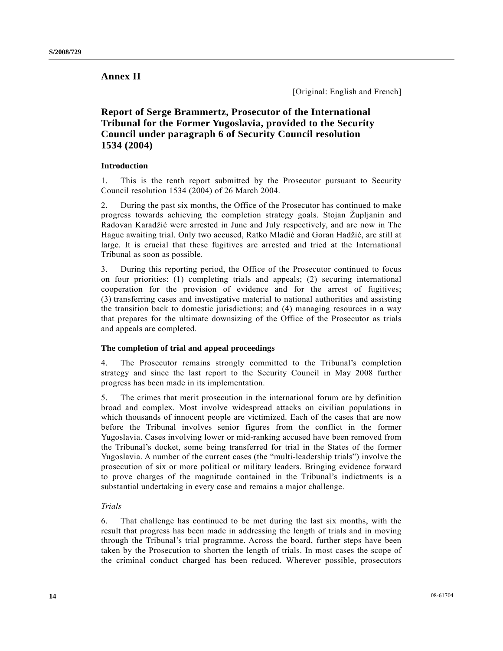# **Annex II**

[Original: English and French]

# **Report of Serge Brammertz, Prosecutor of the International Tribunal for the Former Yugoslavia, provided to the Security Council under paragraph 6 of Security Council resolution 1534 (2004)**

## **Introduction**

1. This is the tenth report submitted by the Prosecutor pursuant to Security Council resolution 1534 (2004) of 26 March 2004.

2. During the past six months, the Office of the Prosecutor has continued to make progress towards achieving the completion strategy goals. Stojan Župljanin and Radovan Karadžić were arrested in June and July respectively, and are now in The Hague awaiting trial. Only two accused, Ratko Mladić and Goran Hadžić, are still at large. It is crucial that these fugitives are arrested and tried at the International Tribunal as soon as possible.

3. During this reporting period, the Office of the Prosecutor continued to focus on four priorities: (1) completing trials and appeals; (2) securing international cooperation for the provision of evidence and for the arrest of fugitives; (3) transferring cases and investigative material to national authorities and assisting the transition back to domestic jurisdictions; and (4) managing resources in a way that prepares for the ultimate downsizing of the Office of the Prosecutor as trials and appeals are completed.

## **The completion of trial and appeal proceedings**

4. The Prosecutor remains strongly committed to the Tribunal's completion strategy and since the last report to the Security Council in May 2008 further progress has been made in its implementation.

5. The crimes that merit prosecution in the international forum are by definition broad and complex. Most involve widespread attacks on civilian populations in which thousands of innocent people are victimized. Each of the cases that are now before the Tribunal involves senior figures from the conflict in the former Yugoslavia. Cases involving lower or mid-ranking accused have been removed from the Tribunal's docket, some being transferred for trial in the States of the former Yugoslavia. A number of the current cases (the "multi-leadership trials") involve the prosecution of six or more political or military leaders. Bringing evidence forward to prove charges of the magnitude contained in the Tribunal's indictments is a substantial undertaking in every case and remains a major challenge.

## *Trials*

6. That challenge has continued to be met during the last six months, with the result that progress has been made in addressing the length of trials and in moving through the Tribunal's trial programme. Across the board, further steps have been taken by the Prosecution to shorten the length of trials. In most cases the scope of the criminal conduct charged has been reduced. Wherever possible, prosecutors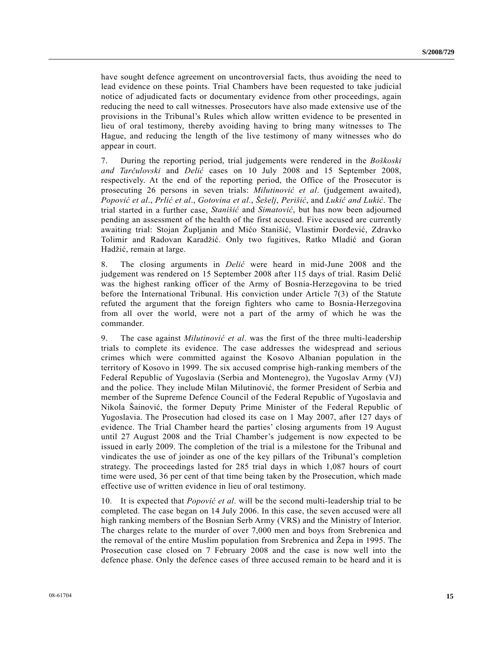have sought defence agreement on uncontroversial facts, thus avoiding the need to lead evidence on these points. Trial Chambers have been requested to take judicial notice of adjudicated facts or documentary evidence from other proceedings, again reducing the need to call witnesses. Prosecutors have also made extensive use of the provisions in the Tribunal's Rules which allow written evidence to be presented in lieu of oral testimony, thereby avoiding having to bring many witnesses to The Hague, and reducing the length of the live testimony of many witnesses who do appear in court.

7. During the reporting period, trial judgements were rendered in the *Boškoski and Tarčulovski* and *Delić* cases on 10 July 2008 and 15 September 2008, respectively. At the end of the reporting period, the Office of the Prosecutor is prosecuting 26 persons in seven trials: *Milutinović et al*. (judgement awaited), *Popović et al*., *Prlić et al*., *Gotovina et al*., *Šešelj*, *Perišić*, and *Lukić and Lukić*. The trial started in a further case, *Stanišić* and *Simatović*, but has now been adjourned pending an assessment of the health of the first accused. Five accused are currently awaiting trial: Stojan Župljanin and Mićo Stanišić, Vlastimir Đorđević, Zdravko Tolimir and Radovan Karadžić. Only two fugitives, Ratko Mladić and Goran Hadžić, remain at large.

8. The closing arguments in *Delić* were heard in mid-June 2008 and the judgement was rendered on 15 September 2008 after 115 days of trial. Rasim Delić was the highest ranking officer of the Army of Bosnia-Herzegovina to be tried before the International Tribunal. His conviction under Article 7(3) of the Statute refuted the argument that the foreign fighters who came to Bosnia-Herzegovina from all over the world, were not a part of the army of which he was the commander.

9. The case against *Milutinović et al*. was the first of the three multi-leadership trials to complete its evidence. The case addresses the widespread and serious crimes which were committed against the Kosovo Albanian population in the territory of Kosovo in 1999. The six accused comprise high-ranking members of the Federal Republic of Yugoslavia (Serbia and Montenegro), the Yugoslav Army (VJ) and the police. They include Milan Milutinović, the former President of Serbia and member of the Supreme Defence Council of the Federal Republic of Yugoslavia and Nikola Šainović, the former Deputy Prime Minister of the Federal Republic of Yugoslavia. The Prosecution had closed its case on 1 May 2007, after 127 days of evidence. The Trial Chamber heard the parties' closing arguments from 19 August until 27 August 2008 and the Trial Chamber's judgement is now expected to be issued in early 2009. The completion of the trial is a milestone for the Tribunal and vindicates the use of joinder as one of the key pillars of the Tribunal's completion strategy. The proceedings lasted for 285 trial days in which 1,087 hours of court time were used, 36 per cent of that time being taken by the Prosecution, which made effective use of written evidence in lieu of oral testimony.

10. It is expected that *Popović et al*. will be the second multi-leadership trial to be completed. The case began on 14 July 2006. In this case, the seven accused were all high ranking members of the Bosnian Serb Army (VRS) and the Ministry of Interior. The charges relate to the murder of over 7,000 men and boys from Srebrenica and the removal of the entire Muslim population from Srebrenica and Žepa in 1995. The Prosecution case closed on 7 February 2008 and the case is now well into the defence phase. Only the defence cases of three accused remain to be heard and it is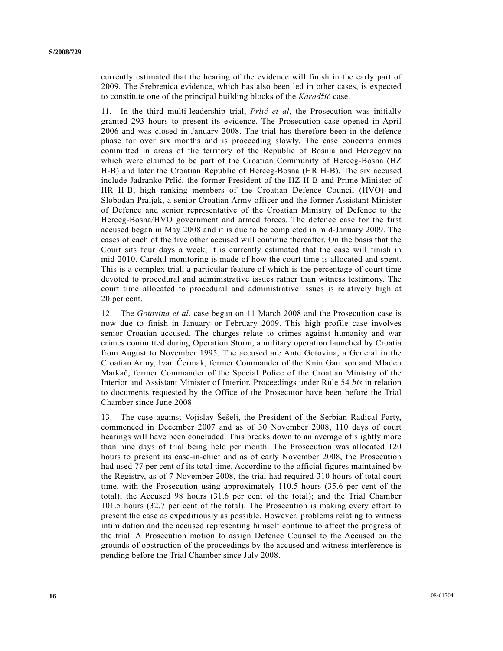currently estimated that the hearing of the evidence will finish in the early part of 2009. The Srebrenica evidence, which has also been led in other cases, is expected to constitute one of the principal building blocks of the *Karadžić* case.

11. In the third multi-leadership trial, *Prlić et al*, the Prosecution was initially granted 293 hours to present its evidence. The Prosecution case opened in April 2006 and was closed in January 2008. The trial has therefore been in the defence phase for over six months and is proceeding slowly. The case concerns crimes committed in areas of the territory of the Republic of Bosnia and Herzegovina which were claimed to be part of the Croatian Community of Herceg-Bosna (HZ H-B) and later the Croatian Republic of Herceg-Bosna (HR H-B). The six accused include Jadranko Prlić, the former President of the HZ H-B and Prime Minister of HR H-B, high ranking members of the Croatian Defence Council (HVO) and Slobodan Praljak, a senior Croatian Army officer and the former Assistant Minister of Defence and senior representative of the Croatian Ministry of Defence to the Herceg-Bosna/HVO government and armed forces. The defence case for the first accused began in May 2008 and it is due to be completed in mid-January 2009. The cases of each of the five other accused will continue thereafter. On the basis that the Court sits four days a week, it is currently estimated that the case will finish in mid-2010. Careful monitoring is made of how the court time is allocated and spent. This is a complex trial, a particular feature of which is the percentage of court time devoted to procedural and administrative issues rather than witness testimony. The court time allocated to procedural and administrative issues is relatively high at 20 per cent.

12. The *Gotovina et al*. case began on 11 March 2008 and the Prosecution case is now due to finish in January or February 2009. This high profile case involves senior Croatian accused. The charges relate to crimes against humanity and war crimes committed during Operation Storm, a military operation launched by Croatia from August to November 1995. The accused are Ante Gotovina, a General in the Croatian Army, Ivan Čermak, former Commander of the Knin Garrison and Mladen Markač, former Commander of the Special Police of the Croatian Ministry of the Interior and Assistant Minister of Interior. Proceedings under Rule 54 *bis* in relation to documents requested by the Office of the Prosecutor have been before the Trial Chamber since June 2008.

13. The case against Vojislav Šešelj, the President of the Serbian Radical Party, commenced in December 2007 and as of 30 November 2008, 110 days of court hearings will have been concluded. This breaks down to an average of slightly more than nine days of trial being held per month. The Prosecution was allocated 120 hours to present its case-in-chief and as of early November 2008, the Prosecution had used 77 per cent of its total time. According to the official figures maintained by the Registry, as of 7 November 2008, the trial had required 310 hours of total court time, with the Prosecution using approximately 110.5 hours (35.6 per cent of the total); the Accused 98 hours (31.6 per cent of the total); and the Trial Chamber 101.5 hours (32.7 per cent of the total). The Prosecution is making every effort to present the case as expeditiously as possible. However, problems relating to witness intimidation and the accused representing himself continue to affect the progress of the trial. A Prosecution motion to assign Defence Counsel to the Accused on the grounds of obstruction of the proceedings by the accused and witness interference is pending before the Trial Chamber since July 2008.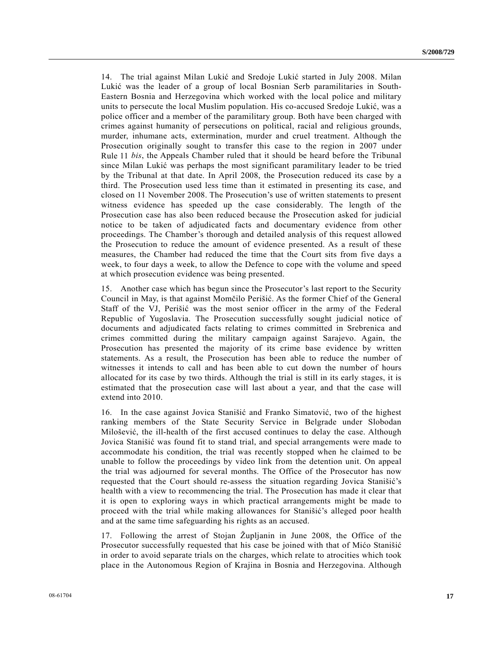14. The trial against Milan Lukić and Sredoje Lukić started in July 2008. Milan Lukić was the leader of a group of local Bosnian Serb paramilitaries in South-Eastern Bosnia and Herzegovina which worked with the local police and military units to persecute the local Muslim population. His co-accused Sredoje Lukić, was a police officer and a member of the paramilitary group. Both have been charged with crimes against humanity of persecutions on political, racial and religious grounds, murder, inhumane acts, extermination, murder and cruel treatment. Although the Prosecution originally sought to transfer this case to the region in 2007 under Rule 11 *bis*, the Appeals Chamber ruled that it should be heard before the Tribunal since Milan Lukić was perhaps the most significant paramilitary leader to be tried by the Tribunal at that date. In April 2008, the Prosecution reduced its case by a third. The Prosecution used less time than it estimated in presenting its case, and closed on 11 November 2008. The Prosecution's use of written statements to present witness evidence has speeded up the case considerably. The length of the Prosecution case has also been reduced because the Prosecution asked for judicial notice to be taken of adjudicated facts and documentary evidence from other proceedings. The Chamber's thorough and detailed analysis of this request allowed the Prosecution to reduce the amount of evidence presented. As a result of these measures, the Chamber had reduced the time that the Court sits from five days a week, to four days a week, to allow the Defence to cope with the volume and speed at which prosecution evidence was being presented.

15. Another case which has begun since the Prosecutor's last report to the Security Council in May, is that against Momčilo Perišić. As the former Chief of the General Staff of the VJ, Perišić was the most senior officer in the army of the Federal Republic of Yugoslavia. The Prosecution successfully sought judicial notice of documents and adjudicated facts relating to crimes committed in Srebrenica and crimes committed during the military campaign against Sarajevo. Again, the Prosecution has presented the majority of its crime base evidence by written statements. As a result, the Prosecution has been able to reduce the number of witnesses it intends to call and has been able to cut down the number of hours allocated for its case by two thirds. Although the trial is still in its early stages, it is estimated that the prosecution case will last about a year, and that the case will extend into 2010.

16. In the case against Jovica Stanišić and Franko Simatović, two of the highest ranking members of the State Security Service in Belgrade under Slobodan Milošević, the ill-health of the first accused continues to delay the case. Although Jovica Stanišić was found fit to stand trial, and special arrangements were made to accommodate his condition, the trial was recently stopped when he claimed to be unable to follow the proceedings by video link from the detention unit. On appeal the trial was adjourned for several months. The Office of the Prosecutor has now requested that the Court should re-assess the situation regarding Jovica Stanišić's health with a view to recommencing the trial. The Prosecution has made it clear that it is open to exploring ways in which practical arrangements might be made to proceed with the trial while making allowances for Stanišić's alleged poor health and at the same time safeguarding his rights as an accused.

17. Following the arrest of Stojan Župljanin in June 2008, the Office of the Prosecutor successfully requested that his case be joined with that of Mićo Stanišić in order to avoid separate trials on the charges, which relate to atrocities which took place in the Autonomous Region of Krajina in Bosnia and Herzegovina. Although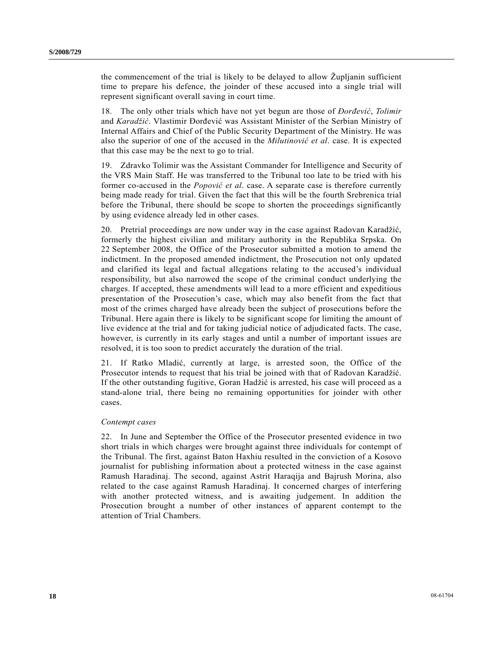the commencement of the trial is likely to be delayed to allow Župljanin sufficient time to prepare his defence, the joinder of these accused into a single trial will represent significant overall saving in court time.

18. The only other trials which have not yet begun are those of *Đorđević*, *Tolimir* and *Karadžić*. Vlastimir Đorđević was Assistant Minister of the Serbian Ministry of Internal Affairs and Chief of the Public Security Department of the Ministry. He was also the superior of one of the accused in the *Milutinović et al*. case. It is expected that this case may be the next to go to trial.

19. Zdravko Tolimir was the Assistant Commander for Intelligence and Security of the VRS Main Staff. He was transferred to the Tribunal too late to be tried with his former co-accused in the *Popović et al*. case. A separate case is therefore currently being made ready for trial. Given the fact that this will be the fourth Srebrenica trial before the Tribunal, there should be scope to shorten the proceedings significantly by using evidence already led in other cases.

20. Pretrial proceedings are now under way in the case against Radovan Karadžić, formerly the highest civilian and military authority in the Republika Srpska. On 22 September 2008, the Office of the Prosecutor submitted a motion to amend the indictment. In the proposed amended indictment, the Prosecution not only updated and clarified its legal and factual allegations relating to the accused's individual responsibility, but also narrowed the scope of the criminal conduct underlying the charges. If accepted, these amendments will lead to a more efficient and expeditious presentation of the Prosecution's case, which may also benefit from the fact that most of the crimes charged have already been the subject of prosecutions before the Tribunal. Here again there is likely to be significant scope for limiting the amount of live evidence at the trial and for taking judicial notice of adjudicated facts. The case, however, is currently in its early stages and until a number of important issues are resolved, it is too soon to predict accurately the duration of the trial.

21. If Ratko Mladić, currently at large, is arrested soon, the Office of the Prosecutor intends to request that his trial be joined with that of Radovan Karadžić. If the other outstanding fugitive, Goran Hadžić is arrested, his case will proceed as a stand-alone trial, there being no remaining opportunities for joinder with other cases.

#### *Contempt cases*

22. In June and September the Office of the Prosecutor presented evidence in two short trials in which charges were brought against three individuals for contempt of the Tribunal. The first, against Baton Haxhiu resulted in the conviction of a Kosovo journalist for publishing information about a protected witness in the case against Ramush Haradinaj. The second, against Astrit Haraqija and Bajrush Morina, also related to the case against Ramush Haradinaj. It concerned charges of interfering with another protected witness, and is awaiting judgement. In addition the Prosecution brought a number of other instances of apparent contempt to the attention of Trial Chambers.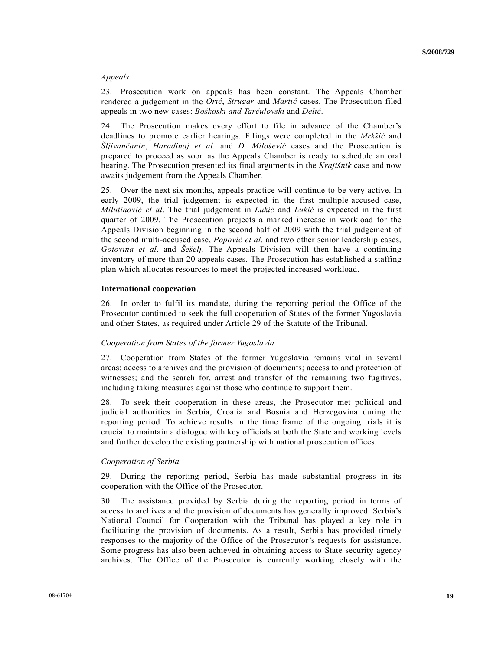#### *Appeals*

23. Prosecution work on appeals has been constant. The Appeals Chamber rendered a judgement in the *Orić*, *Strugar* and *Martić* cases. The Prosecution filed appeals in two new cases: *Boškoski and Tarčulovski* and *Delić*.

24. The Prosecution makes every effort to file in advance of the Chamber's deadlines to promote earlier hearings. Filings were completed in the *Mrkšić* and *Šljivančanin*, *Haradinaj et al*. and *D. Milošević* cases and the Prosecution is prepared to proceed as soon as the Appeals Chamber is ready to schedule an oral hearing. The Prosecution presented its final arguments in the *Krajišnik* case and now awaits judgement from the Appeals Chamber.

25. Over the next six months, appeals practice will continue to be very active. In early 2009, the trial judgement is expected in the first multiple-accused case, *Milutinović et al*. The trial judgement in *Lukić* and *Lukić* is expected in the first quarter of 2009. The Prosecution projects a marked increase in workload for the Appeals Division beginning in the second half of 2009 with the trial judgement of the second multi-accused case, *Popović et al*. and two other senior leadership cases, *Gotovina et al*. and *Šešelj*. The Appeals Division will then have a continuing inventory of more than 20 appeals cases. The Prosecution has established a staffing plan which allocates resources to meet the projected increased workload.

#### **International cooperation**

26. In order to fulfil its mandate, during the reporting period the Office of the Prosecutor continued to seek the full cooperation of States of the former Yugoslavia and other States, as required under Article 29 of the Statute of the Tribunal.

## *Cooperation from States of the former Yugoslavia*

27. Cooperation from States of the former Yugoslavia remains vital in several areas: access to archives and the provision of documents; access to and protection of witnesses; and the search for, arrest and transfer of the remaining two fugitives, including taking measures against those who continue to support them.

28. To seek their cooperation in these areas, the Prosecutor met political and judicial authorities in Serbia, Croatia and Bosnia and Herzegovina during the reporting period. To achieve results in the time frame of the ongoing trials it is crucial to maintain a dialogue with key officials at both the State and working levels and further develop the existing partnership with national prosecution offices.

#### *Cooperation of Serbia*

29. During the reporting period, Serbia has made substantial progress in its cooperation with the Office of the Prosecutor.

30. The assistance provided by Serbia during the reporting period in terms of access to archives and the provision of documents has generally improved. Serbia's National Council for Cooperation with the Tribunal has played a key role in facilitating the provision of documents. As a result, Serbia has provided timely responses to the majority of the Office of the Prosecutor's requests for assistance. Some progress has also been achieved in obtaining access to State security agency archives. The Office of the Prosecutor is currently working closely with the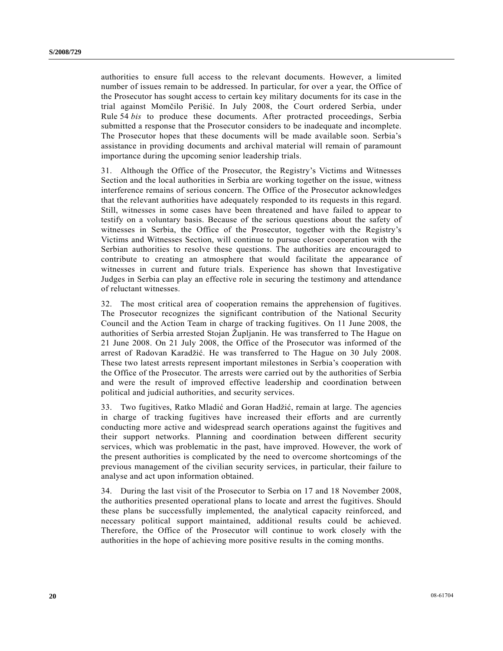authorities to ensure full access to the relevant documents. However, a limited number of issues remain to be addressed. In particular, for over a year, the Office of the Prosecutor has sought access to certain key military documents for its case in the trial against Momčilo Perišić. In July 2008, the Court ordered Serbia, under Rule 54 *bis* to produce these documents. After protracted proceedings, Serbia submitted a response that the Prosecutor considers to be inadequate and incomplete. The Prosecutor hopes that these documents will be made available soon. Serbia's assistance in providing documents and archival material will remain of paramount importance during the upcoming senior leadership trials.

31. Although the Office of the Prosecutor, the Registry's Victims and Witnesses Section and the local authorities in Serbia are working together on the issue, witness interference remains of serious concern. The Office of the Prosecutor acknowledges that the relevant authorities have adequately responded to its requests in this regard. Still, witnesses in some cases have been threatened and have failed to appear to testify on a voluntary basis. Because of the serious questions about the safety of witnesses in Serbia, the Office of the Prosecutor, together with the Registry's Victims and Witnesses Section, will continue to pursue closer cooperation with the Serbian authorities to resolve these questions. The authorities are encouraged to contribute to creating an atmosphere that would facilitate the appearance of witnesses in current and future trials. Experience has shown that Investigative Judges in Serbia can play an effective role in securing the testimony and attendance of reluctant witnesses.

32. The most critical area of cooperation remains the apprehension of fugitives. The Prosecutor recognizes the significant contribution of the National Security Council and the Action Team in charge of tracking fugitives. On 11 June 2008, the authorities of Serbia arrested Stojan Župljanin. He was transferred to The Hague on 21 June 2008. On 21 July 2008, the Office of the Prosecutor was informed of the arrest of Radovan Karadžić. He was transferred to The Hague on 30 July 2008. These two latest arrests represent important milestones in Serbia's cooperation with the Office of the Prosecutor. The arrests were carried out by the authorities of Serbia and were the result of improved effective leadership and coordination between political and judicial authorities, and security services.

33. Two fugitives, Ratko Mladić and Goran Hadžić, remain at large. The agencies in charge of tracking fugitives have increased their efforts and are currently conducting more active and widespread search operations against the fugitives and their support networks. Planning and coordination between different security services, which was problematic in the past, have improved. However, the work of the present authorities is complicated by the need to overcome shortcomings of the previous management of the civilian security services, in particular, their failure to analyse and act upon information obtained.

34. During the last visit of the Prosecutor to Serbia on 17 and 18 November 2008, the authorities presented operational plans to locate and arrest the fugitives. Should these plans be successfully implemented, the analytical capacity reinforced, and necessary political support maintained, additional results could be achieved. Therefore, the Office of the Prosecutor will continue to work closely with the authorities in the hope of achieving more positive results in the coming months.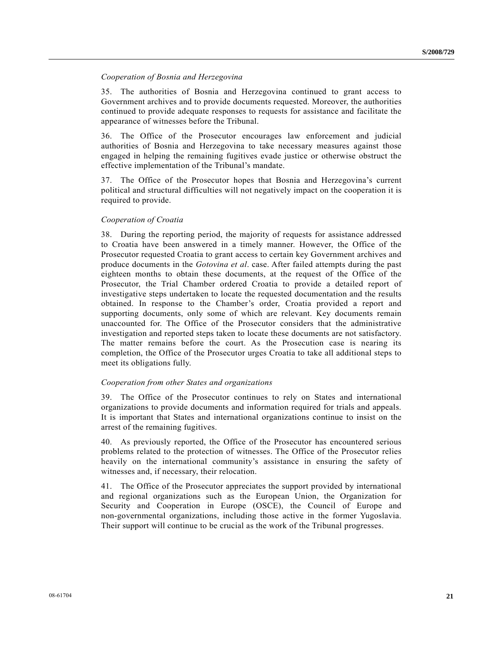#### *Cooperation of Bosnia and Herzegovina*

35. The authorities of Bosnia and Herzegovina continued to grant access to Government archives and to provide documents requested. Moreover, the authorities continued to provide adequate responses to requests for assistance and facilitate the appearance of witnesses before the Tribunal.

36. The Office of the Prosecutor encourages law enforcement and judicial authorities of Bosnia and Herzegovina to take necessary measures against those engaged in helping the remaining fugitives evade justice or otherwise obstruct the effective implementation of the Tribunal's mandate.

37. The Office of the Prosecutor hopes that Bosnia and Herzegovina's current political and structural difficulties will not negatively impact on the cooperation it is required to provide.

#### *Cooperation of Croatia*

38. During the reporting period, the majority of requests for assistance addressed to Croatia have been answered in a timely manner. However, the Office of the Prosecutor requested Croatia to grant access to certain key Government archives and produce documents in the *Gotovina et al*. case. After failed attempts during the past eighteen months to obtain these documents, at the request of the Office of the Prosecutor, the Trial Chamber ordered Croatia to provide a detailed report of investigative steps undertaken to locate the requested documentation and the results obtained. In response to the Chamber's order, Croatia provided a report and supporting documents, only some of which are relevant. Key documents remain unaccounted for. The Office of the Prosecutor considers that the administrative investigation and reported steps taken to locate these documents are not satisfactory. The matter remains before the court. As the Prosecution case is nearing its completion, the Office of the Prosecutor urges Croatia to take all additional steps to meet its obligations fully.

#### *Cooperation from other States and organizations*

39. The Office of the Prosecutor continues to rely on States and international organizations to provide documents and information required for trials and appeals. It is important that States and international organizations continue to insist on the arrest of the remaining fugitives.

40. As previously reported, the Office of the Prosecutor has encountered serious problems related to the protection of witnesses. The Office of the Prosecutor relies heavily on the international community's assistance in ensuring the safety of witnesses and, if necessary, their relocation.

41. The Office of the Prosecutor appreciates the support provided by international and regional organizations such as the European Union, the Organization for Security and Cooperation in Europe (OSCE), the Council of Europe and non-governmental organizations, including those active in the former Yugoslavia. Their support will continue to be crucial as the work of the Tribunal progresses.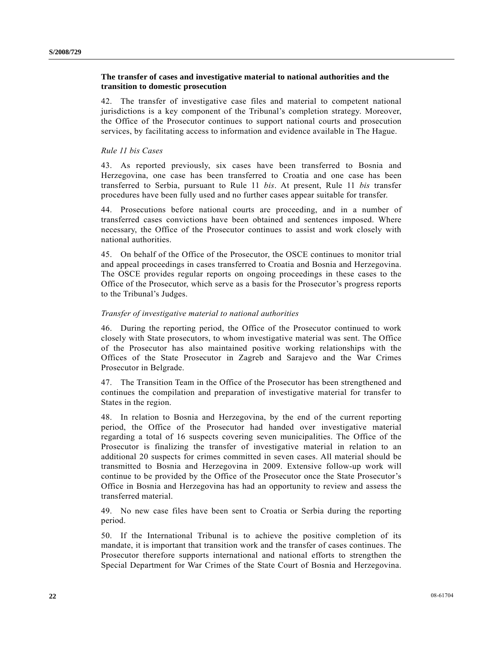## **The transfer of cases and investigative material to national authorities and the transition to domestic prosecution**

42. The transfer of investigative case files and material to competent national jurisdictions is a key component of the Tribunal's completion strategy. Moreover, the Office of the Prosecutor continues to support national courts and prosecution services, by facilitating access to information and evidence available in The Hague.

#### *Rule 11 bis Cases*

43. As reported previously, six cases have been transferred to Bosnia and Herzegovina, one case has been transferred to Croatia and one case has been transferred to Serbia, pursuant to Rule 11 *bis*. At present, Rule 11 *bis* transfer procedures have been fully used and no further cases appear suitable for transfer.

44. Prosecutions before national courts are proceeding, and in a number of transferred cases convictions have been obtained and sentences imposed. Where necessary, the Office of the Prosecutor continues to assist and work closely with national authorities.

45. On behalf of the Office of the Prosecutor, the OSCE continues to monitor trial and appeal proceedings in cases transferred to Croatia and Bosnia and Herzegovina. The OSCE provides regular reports on ongoing proceedings in these cases to the Office of the Prosecutor, which serve as a basis for the Prosecutor's progress reports to the Tribunal's Judges.

#### *Transfer of investigative material to national authorities*

46. During the reporting period, the Office of the Prosecutor continued to work closely with State prosecutors, to whom investigative material was sent. The Office of the Prosecutor has also maintained positive working relationships with the Offices of the State Prosecutor in Zagreb and Sarajevo and the War Crimes Prosecutor in Belgrade.

47. The Transition Team in the Office of the Prosecutor has been strengthened and continues the compilation and preparation of investigative material for transfer to States in the region.

48. In relation to Bosnia and Herzegovina, by the end of the current reporting period, the Office of the Prosecutor had handed over investigative material regarding a total of 16 suspects covering seven municipalities. The Office of the Prosecutor is finalizing the transfer of investigative material in relation to an additional 20 suspects for crimes committed in seven cases. All material should be transmitted to Bosnia and Herzegovina in 2009. Extensive follow-up work will continue to be provided by the Office of the Prosecutor once the State Prosecutor's Office in Bosnia and Herzegovina has had an opportunity to review and assess the transferred material.

49. No new case files have been sent to Croatia or Serbia during the reporting period.

50. If the International Tribunal is to achieve the positive completion of its mandate, it is important that transition work and the transfer of cases continues. The Prosecutor therefore supports international and national efforts to strengthen the Special Department for War Crimes of the State Court of Bosnia and Herzegovina.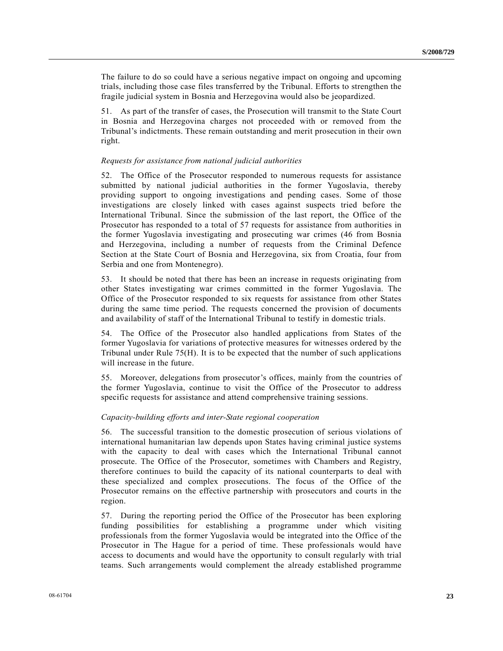The failure to do so could have a serious negative impact on ongoing and upcoming trials, including those case files transferred by the Tribunal. Efforts to strengthen the fragile judicial system in Bosnia and Herzegovina would also be jeopardized.

51. As part of the transfer of cases, the Prosecution will transmit to the State Court in Bosnia and Herzegovina charges not proceeded with or removed from the Tribunal's indictments. These remain outstanding and merit prosecution in their own right.

#### *Requests for assistance from national judicial authorities*

52. The Office of the Prosecutor responded to numerous requests for assistance submitted by national judicial authorities in the former Yugoslavia, thereby providing support to ongoing investigations and pending cases. Some of those investigations are closely linked with cases against suspects tried before the International Tribunal. Since the submission of the last report, the Office of the Prosecutor has responded to a total of 57 requests for assistance from authorities in the former Yugoslavia investigating and prosecuting war crimes (46 from Bosnia and Herzegovina, including a number of requests from the Criminal Defence Section at the State Court of Bosnia and Herzegovina, six from Croatia, four from Serbia and one from Montenegro).

53. It should be noted that there has been an increase in requests originating from other States investigating war crimes committed in the former Yugoslavia. The Office of the Prosecutor responded to six requests for assistance from other States during the same time period. The requests concerned the provision of documents and availability of staff of the International Tribunal to testify in domestic trials.

54. The Office of the Prosecutor also handled applications from States of the former Yugoslavia for variations of protective measures for witnesses ordered by the Tribunal under Rule 75(H). It is to be expected that the number of such applications will increase in the future.

55. Moreover, delegations from prosecutor's offices, mainly from the countries of the former Yugoslavia, continue to visit the Office of the Prosecutor to address specific requests for assistance and attend comprehensive training sessions.

#### *Capacity-building efforts and inter-State regional cooperation*

56. The successful transition to the domestic prosecution of serious violations of international humanitarian law depends upon States having criminal justice systems with the capacity to deal with cases which the International Tribunal cannot prosecute. The Office of the Prosecutor, sometimes with Chambers and Registry, therefore continues to build the capacity of its national counterparts to deal with these specialized and complex prosecutions. The focus of the Office of the Prosecutor remains on the effective partnership with prosecutors and courts in the region.

57. During the reporting period the Office of the Prosecutor has been exploring funding possibilities for establishing a programme under which visiting professionals from the former Yugoslavia would be integrated into the Office of the Prosecutor in The Hague for a period of time. These professionals would have access to documents and would have the opportunity to consult regularly with trial teams. Such arrangements would complement the already established programme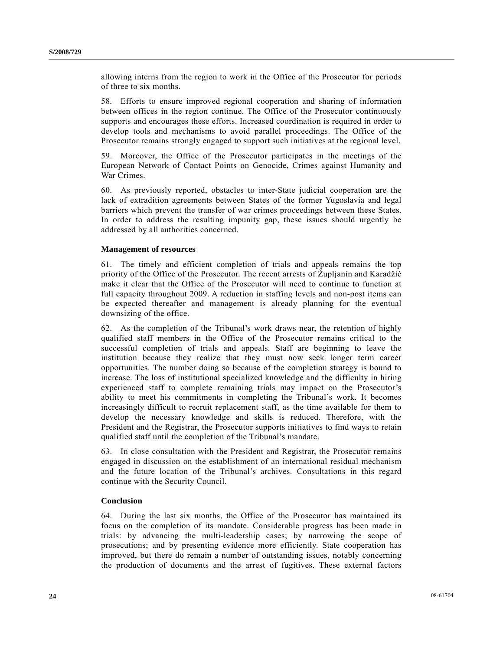allowing interns from the region to work in the Office of the Prosecutor for periods of three to six months.

58. Efforts to ensure improved regional cooperation and sharing of information between offices in the region continue. The Office of the Prosecutor continuously supports and encourages these efforts. Increased coordination is required in order to develop tools and mechanisms to avoid parallel proceedings. The Office of the Prosecutor remains strongly engaged to support such initiatives at the regional level.

59. Moreover, the Office of the Prosecutor participates in the meetings of the European Network of Contact Points on Genocide, Crimes against Humanity and War Crimes.

60. As previously reported, obstacles to inter-State judicial cooperation are the lack of extradition agreements between States of the former Yugoslavia and legal barriers which prevent the transfer of war crimes proceedings between these States. In order to address the resulting impunity gap, these issues should urgently be addressed by all authorities concerned.

#### **Management of resources**

61. The timely and efficient completion of trials and appeals remains the top priority of the Office of the Prosecutor. The recent arrests of Župljanin and Karadžić make it clear that the Office of the Prosecutor will need to continue to function at full capacity throughout 2009. A reduction in staffing levels and non-post items can be expected thereafter and management is already planning for the eventual downsizing of the office.

62. As the completion of the Tribunal's work draws near, the retention of highly qualified staff members in the Office of the Prosecutor remains critical to the successful completion of trials and appeals. Staff are beginning to leave the institution because they realize that they must now seek longer term career opportunities. The number doing so because of the completion strategy is bound to increase. The loss of institutional specialized knowledge and the difficulty in hiring experienced staff to complete remaining trials may impact on the Prosecutor's ability to meet his commitments in completing the Tribunal's work. It becomes increasingly difficult to recruit replacement staff, as the time available for them to develop the necessary knowledge and skills is reduced. Therefore, with the President and the Registrar, the Prosecutor supports initiatives to find ways to retain qualified staff until the completion of the Tribunal's mandate.

63. In close consultation with the President and Registrar, the Prosecutor remains engaged in discussion on the establishment of an international residual mechanism and the future location of the Tribunal's archives. Consultations in this regard continue with the Security Council.

#### **Conclusion**

64. During the last six months, the Office of the Prosecutor has maintained its focus on the completion of its mandate. Considerable progress has been made in trials: by advancing the multi-leadership cases; by narrowing the scope of prosecutions; and by presenting evidence more efficiently. State cooperation has improved, but there do remain a number of outstanding issues, notably concerning the production of documents and the arrest of fugitives. These external factors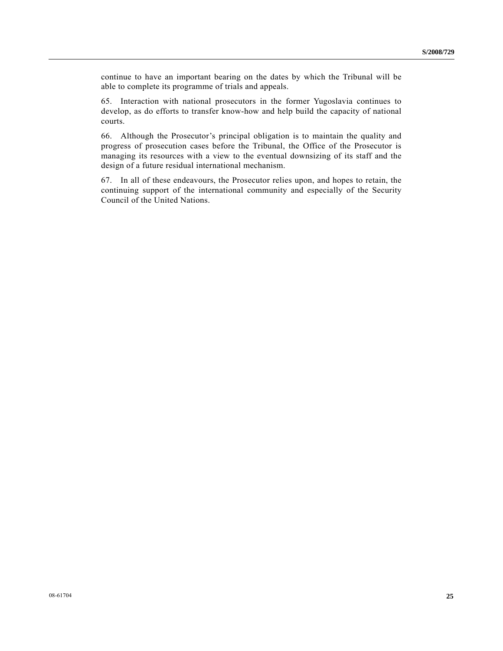continue to have an important bearing on the dates by which the Tribunal will be able to complete its programme of trials and appeals.

65. Interaction with national prosecutors in the former Yugoslavia continues to develop, as do efforts to transfer know-how and help build the capacity of national courts.

66. Although the Prosecutor's principal obligation is to maintain the quality and progress of prosecution cases before the Tribunal, the Office of the Prosecutor is managing its resources with a view to the eventual downsizing of its staff and the design of a future residual international mechanism.

67. In all of these endeavours, the Prosecutor relies upon, and hopes to retain, the continuing support of the international community and especially of the Security Council of the United Nations.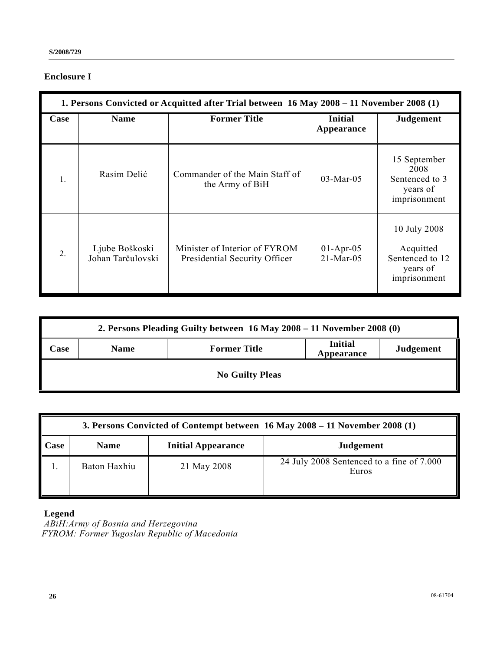# **Enclosure I**

|      | 1. Persons Convicted or Acquitted after Trial between 16 May 2008 – 11 November 2008 (1) |                                                                |                              |                                                                          |  |  |
|------|------------------------------------------------------------------------------------------|----------------------------------------------------------------|------------------------------|--------------------------------------------------------------------------|--|--|
| Case | <b>Name</b>                                                                              | <b>Former Title</b>                                            | <b>Initial</b><br>Appearance | <b>Judgement</b>                                                         |  |  |
| 1.   | Rasim Delić                                                                              | Commander of the Main Staff of<br>the Army of BiH              | $03-Mar-05$                  | 15 September<br>2008<br>Sentenced to 3<br>years of<br>imprisonment       |  |  |
| 2.   | Ljube Boškoski<br>Johan Tarčulovski                                                      | Minister of Interior of FYROM<br>Presidential Security Officer | $01-Apr-05$<br>$21-Mar-05$   | 10 July 2008<br>Acquitted<br>Sentenced to 12<br>years of<br>imprisonment |  |  |

|                        | 2. Persons Pleading Guilty between 16 May 2008 – 11 November 2008 (0) |                     |                              |                  |  |  |
|------------------------|-----------------------------------------------------------------------|---------------------|------------------------------|------------------|--|--|
| <b>Case</b>            | <b>Name</b>                                                           | <b>Former Title</b> | <b>Initial</b><br>Appearance | <b>Judgement</b> |  |  |
| <b>No Guilty Pleas</b> |                                                                       |                     |                              |                  |  |  |

|                     | 3. Persons Convicted of Contempt between $16$ May 2008 – 11 November 2008 (1) |                           |                                                    |  |  |  |
|---------------------|-------------------------------------------------------------------------------|---------------------------|----------------------------------------------------|--|--|--|
| $\blacksquare$ Case | <b>Name</b>                                                                   | <b>Initial Appearance</b> | <b>Judgement</b>                                   |  |  |  |
|                     | Baton Haxhiu                                                                  | 21 May 2008               | 24 July 2008 Sentenced to a fine of 7.000<br>Euros |  |  |  |

## **Legend**

 *ABiH: Army of Bosnia and Herzegovina FYROM: Former Yugoslav Republic of Macedonia*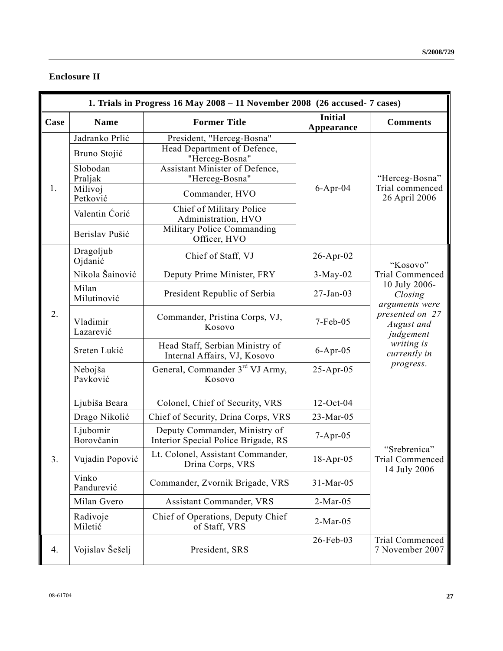# **Enclosure II**

|      | 1. Trials in Progress 16 May 2008 - 11 November 2008 (26 accused- 7 cases) |                                                                      |                              |                                                 |  |
|------|----------------------------------------------------------------------------|----------------------------------------------------------------------|------------------------------|-------------------------------------------------|--|
| Case | <b>Name</b>                                                                | <b>Former Title</b>                                                  | <b>Initial</b><br>Appearance | <b>Comments</b>                                 |  |
|      | Jadranko Prlić                                                             | President, "Herceg-Bosna"                                            |                              |                                                 |  |
|      | Bruno Stojić                                                               | Head Department of Defence,<br>"Herceg-Bosna"                        |                              |                                                 |  |
|      | Slobodan<br>Praljak                                                        | Assistant Minister of Defence,<br>"Herceg-Bosna"                     |                              | "Herceg-Bosna"                                  |  |
| 1.   | Milivoj<br>Petković                                                        | Commander, HVO                                                       | $6-Apr-04$                   | Trial commenced<br>26 April 2006                |  |
|      | Valentin Ćorić                                                             | Chief of Military Police<br>Administration, HVO                      |                              |                                                 |  |
|      | Berislav Pušić                                                             | <b>Military Police Commanding</b><br>Officer, HVO                    |                              |                                                 |  |
|      | Dragoljub<br>Ojdanić                                                       | Chief of Staff, VJ                                                   | 26-Apr-02                    | "Kosovo"                                        |  |
|      | Nikola Šainović                                                            | Deputy Prime Minister, FRY                                           | $3-May-02$                   | <b>Trial Commenced</b>                          |  |
|      | Milan<br>Milutinović                                                       | President Republic of Serbia                                         | $27 - Jan-03$                | 10 July 2006-<br>Closing<br>arguments were      |  |
| 2.   | Vladimir<br>Lazarević                                                      | Commander, Pristina Corps, VJ,<br>Kosovo                             | 7-Feb-05                     | presented on 27<br>August and<br>judgement      |  |
|      | Sreten Lukić                                                               | Head Staff, Serbian Ministry of<br>Internal Affairs, VJ, Kosovo      | $6$ -Apr-05                  | writing is<br>currently in                      |  |
|      | Nebojša<br>Pavković                                                        | General, Commander 3 <sup>rd</sup> VJ Army,<br>Kosovo                | $25$ -Apr-05                 | progress.                                       |  |
|      | Ljubiša Beara                                                              | Colonel, Chief of Security, VRS                                      | $12-Oct-04$                  |                                                 |  |
|      | Drago Nikolić                                                              | Chief of Security, Drina Corps, VRS                                  | 23-Mar-05                    |                                                 |  |
|      | Ljubomir<br>Borovčanin                                                     | Deputy Commander, Ministry of<br>Interior Special Police Brigade, RS | $7-Apr-05$                   |                                                 |  |
| 3.   | Vujadin Popović                                                            | Lt. Colonel, Assistant Commander,<br>Drina Corps, VRS                | $18-Apr-05$                  | "Srebrenica"<br>Trial Commenced<br>14 July 2006 |  |
|      | Vinko<br>Pandurević                                                        | Commander, Zvornik Brigade, VRS                                      | 31-Mar-05                    |                                                 |  |
|      | Milan Gvero                                                                | <b>Assistant Commander, VRS</b>                                      | $2-Mar-05$                   |                                                 |  |
|      | Radivoje<br>Miletić                                                        | Chief of Operations, Deputy Chief<br>of Staff, VRS                   | $2-Mar-05$                   |                                                 |  |
| 4.   | Vojislav Šešelj                                                            | President, SRS                                                       | 26-Feb-03                    | <b>Trial Commenced</b><br>7 November 2007       |  |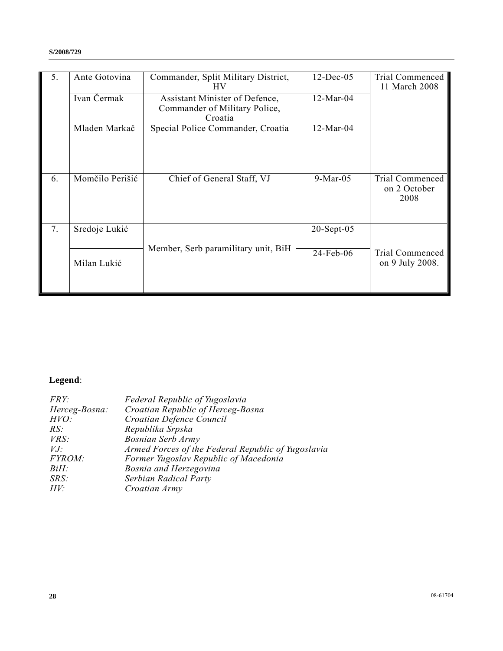| 5. | Ante Gotovina   | Commander, Split Military District,<br>HV <sub>1</sub>                     | $12$ -Dec-05  | Trial Commenced<br>11 March 2008               |
|----|-----------------|----------------------------------------------------------------------------|---------------|------------------------------------------------|
|    | Ivan Čermak     | Assistant Minister of Defence,<br>Commander of Military Police,<br>Croatia | $12-Mar-04$   |                                                |
|    | Mladen Markač   | Special Police Commander, Croatia                                          | $12-Mar-04$   |                                                |
| 6. | Momčilo Perišić | Chief of General Staff, VJ                                                 | $9-Mar-05$    | <b>Trial Commenced</b><br>on 2 October<br>2008 |
| 7. | Sredoje Lukić   |                                                                            | $20$ -Sept-05 |                                                |
|    | Milan Lukić     | Member, Serb paramilitary unit, BiH                                        | 24-Feb-06     | Trial Commenced<br>on 9 July 2008.             |

# **Legend**:

| Federal Republic of Yugoslavia                     |
|----------------------------------------------------|
| Croatian Republic of Herceg-Bosna                  |
| Croatian Defence Council                           |
| Republika Srpska                                   |
| <b>Bosnian Serb Army</b>                           |
| Armed Forces of the Federal Republic of Yugoslavia |
| Former Yugoslav Republic of Macedonia              |
| Bosnia and Herzegovina                             |
| Serbian Radical Party                              |
| Croatian Army                                      |
|                                                    |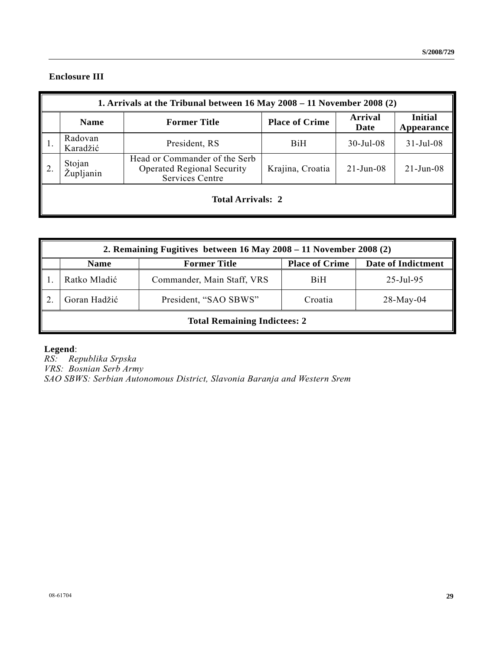# **Enclosure III**

| 1. Arrivals at the Tribunal between 16 May 2008 - 11 November 2008 (2) |                                                                                              |                       |                 |                              |
|------------------------------------------------------------------------|----------------------------------------------------------------------------------------------|-----------------------|-----------------|------------------------------|
| <b>Name</b>                                                            | <b>Former Title</b>                                                                          | <b>Place of Crime</b> | Arrival<br>Date | <b>Initial</b><br>Appearance |
| Radovan<br>Karadžić                                                    | President, RS                                                                                | <b>BiH</b>            | $30$ -Jul-08    | $31 - Jul - 08$              |
| Stojan<br>Župljanin                                                    | Head or Commander of the Serb<br><b>Operated Regional Security</b><br><b>Services Centre</b> | Krajina, Croatia      | $21$ -Jun-08    | $21$ -Jun-08                 |
| <b>Total Arrivals: 2</b>                                               |                                                                                              |                       |                 |                              |

| 2. Remaining Fugitives between $16$ May $2008 - 11$ November 2008 (2) |                            |                       |                        |  |
|-----------------------------------------------------------------------|----------------------------|-----------------------|------------------------|--|
| <b>Name</b>                                                           | <b>Former Title</b>        | <b>Place of Crime</b> | Date of Indictment     |  |
| Ratko Mladić                                                          | Commander, Main Staff, VRS | BiH                   | $25 - \text{Jul} - 95$ |  |
| Goran Hadžić                                                          | President, "SAO SBWS"      | Croatia               | $28$ -May-04           |  |
| <b>Total Remaining Indictees: 2</b>                                   |                            |                       |                        |  |

 **Legend**:

*RS: Republika Srpska VRS: Bosnian Serb Army SAO SBWS: Serbian Autonomous District, Slavonia Baranja and Western Srem*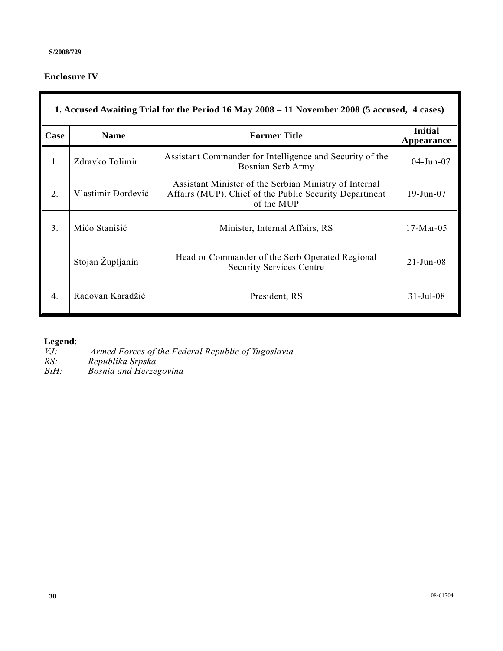# **Enclosure IV**

# **1. Accused Awaiting Trial for the Period 16 May 2008 – 11 November 2008 (5 accused, 4 cases)**

| Case             | <b>Name</b>        | <b>Former Title</b>                                                                                                            | <b>Initial</b><br>Appearance |
|------------------|--------------------|--------------------------------------------------------------------------------------------------------------------------------|------------------------------|
| 1.               | Zdravko Tolimir    | Assistant Commander for Intelligence and Security of the<br>Bosnian Serb Army                                                  | $04$ -Jun- $07$              |
| 2.               | Vlastimir Đorđević | Assistant Minister of the Serbian Ministry of Internal<br>Affairs (MUP), Chief of the Public Security Department<br>of the MUP | 19-Jun-07                    |
| 3                | Mićo Stanišić      | Minister, Internal Affairs, RS                                                                                                 | $17-Mar-05$                  |
|                  | Stojan Župljanin   | Head or Commander of the Serb Operated Regional<br><b>Security Services Centre</b>                                             | $21 - Jun-08$                |
| $\overline{4}$ . | Radovan Karadžić   | President, RS                                                                                                                  | $31 - Jul - 08$              |

## **Legend**:

*VJ: Armed Forces of the Federal Republic of Yugoslavia*

*RS: Republika Srpska*

*BiH: Bosnia and Herzegovina*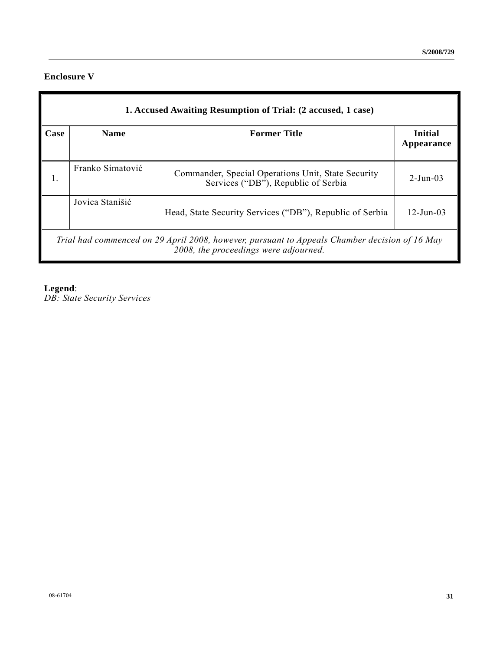## **Enclosure V**

|      | 1. Accused Awaiting Resumption of Trial: (2 accused, 1 case) |                                                                                                                                        |                              |  |  |
|------|--------------------------------------------------------------|----------------------------------------------------------------------------------------------------------------------------------------|------------------------------|--|--|
| Case | <b>Name</b>                                                  | <b>Former Title</b>                                                                                                                    | <b>Initial</b><br>Appearance |  |  |
|      | Franko Simatović                                             | Commander, Special Operations Unit, State Security<br>Services ("DB"), Republic of Serbia                                              | $2 - \text{Jun} - 03$        |  |  |
|      | Jovica Stanišić                                              | Head, State Security Services ("DB"), Republic of Serbia                                                                               | $12 - Jun-03$                |  |  |
|      |                                                              | Trial had commenced on 29 April 2008, however, pursuant to Appeals Chamber decision of 16 May<br>2008, the proceedings were adjourned. |                              |  |  |

**Legend**:

*DB: State Security Services*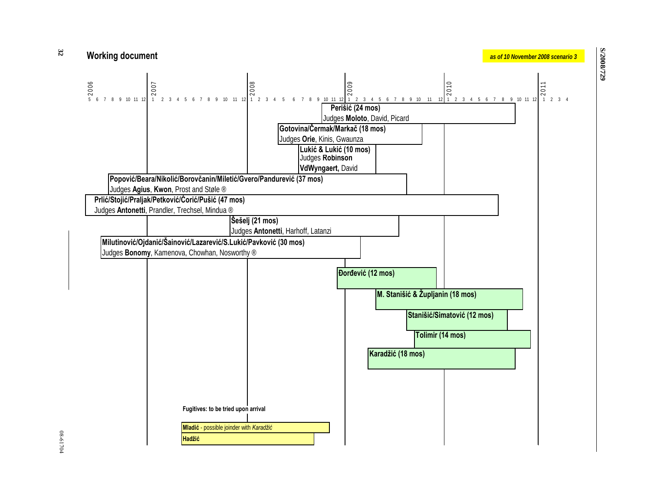





**S/2008/729**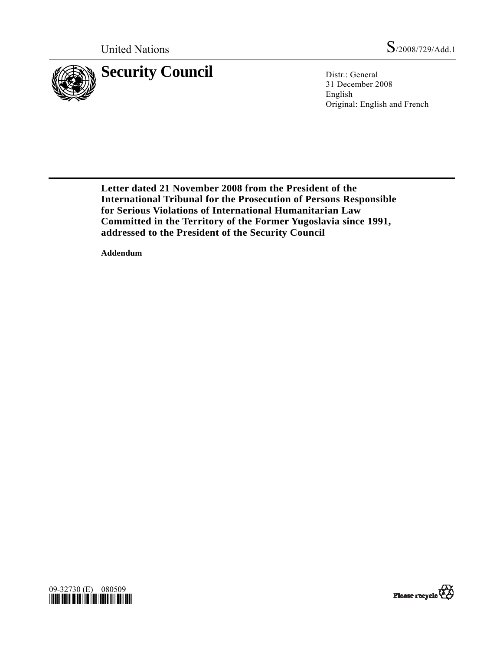

31 December 2008 English Original: English and French

 **Letter dated 21 November 2008 from the President of the International Tribunal for the Prosecution of Persons Responsible for Serious Violations of International Humanitarian Law Committed in the Territory of the Former Yugoslavia since 1991, addressed to the President of the Security Council** 

 **Addendum** 



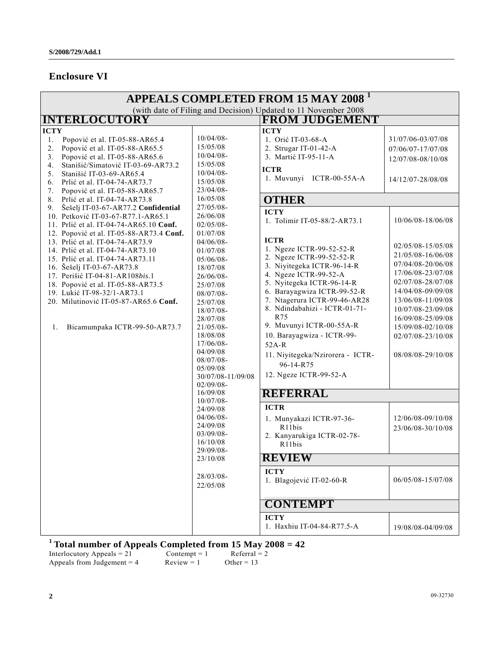# **Enclosure VI**

| <b>APPEALS COMPLETED FROM 15 MAY 2008<sup>1</sup></b>                   |                                                                                                                                                                                                                                                                                                                                                                                                                                                                                                                                                                                                                                                                                                                                                                                                  |                                                                                                                                                                                                                                                                                                                                                                                                                                                                                                                                                     |                                                                                                                                                                                                                                                                                                                                                                                                                                                                                                                                                                                                                                                                                                                                                                                         |                                                                                                                                                                                                                                                                                                                                                                                                             |
|-------------------------------------------------------------------------|--------------------------------------------------------------------------------------------------------------------------------------------------------------------------------------------------------------------------------------------------------------------------------------------------------------------------------------------------------------------------------------------------------------------------------------------------------------------------------------------------------------------------------------------------------------------------------------------------------------------------------------------------------------------------------------------------------------------------------------------------------------------------------------------------|-----------------------------------------------------------------------------------------------------------------------------------------------------------------------------------------------------------------------------------------------------------------------------------------------------------------------------------------------------------------------------------------------------------------------------------------------------------------------------------------------------------------------------------------------------|-----------------------------------------------------------------------------------------------------------------------------------------------------------------------------------------------------------------------------------------------------------------------------------------------------------------------------------------------------------------------------------------------------------------------------------------------------------------------------------------------------------------------------------------------------------------------------------------------------------------------------------------------------------------------------------------------------------------------------------------------------------------------------------------|-------------------------------------------------------------------------------------------------------------------------------------------------------------------------------------------------------------------------------------------------------------------------------------------------------------------------------------------------------------------------------------------------------------|
|                                                                         |                                                                                                                                                                                                                                                                                                                                                                                                                                                                                                                                                                                                                                                                                                                                                                                                  |                                                                                                                                                                                                                                                                                                                                                                                                                                                                                                                                                     | (with date of Filing and Decision) Updated to 11 November 2008                                                                                                                                                                                                                                                                                                                                                                                                                                                                                                                                                                                                                                                                                                                          |                                                                                                                                                                                                                                                                                                                                                                                                             |
|                                                                         |                                                                                                                                                                                                                                                                                                                                                                                                                                                                                                                                                                                                                                                                                                                                                                                                  |                                                                                                                                                                                                                                                                                                                                                                                                                                                                                                                                                     |                                                                                                                                                                                                                                                                                                                                                                                                                                                                                                                                                                                                                                                                                                                                                                                         |                                                                                                                                                                                                                                                                                                                                                                                                             |
| <b>ICTY</b><br>1.<br>2.<br>3.<br>4.<br>5.<br>6.<br>7.<br>8.<br>9.<br>1. | <b>INTERLOCUTORY</b><br>Popović et al. IT-05-88-AR65.4<br>Popović et al. IT-05-88-AR65.5<br>Popović et al. IT-05-88-AR65.6<br>Stanišić/Simatović IT-03-69-AR73.2<br>Stanišić IT-03-69-AR65.4<br>Prlić et al. IT-04-74-AR73.7<br>Popović et al. IT-05-88-AR65.7<br>Prlić et al. IT-04-74-AR73.8<br>Šešelj IT-03-67-AR77.2 Confidential<br>10. Petković IT-03-67-R77.1-AR65.1<br>11. Prlić et al. IT-04-74-AR65.10 Conf.<br>12. Popović et al. IT-05-88-AR73.4 Conf.<br>13. Prlić et al. IT-04-74-AR73.9<br>14. Prlić et al. IT-04-74-AR73.10<br>15. Prlić et al. IT-04-74-AR73.11<br>16. Šešelj IT-03-67-AR73.8<br>17. Perišić IT-04-81-AR108bis.1<br>18. Popović et al. IT-05-88-AR73.5<br>19. Lukić IT-98-32/1-AR73.1<br>20. Milutinović IT-05-87-AR65.6 Conf.<br>Bicamumpaka ICTR-99-50-AR73.7 | $10/04/08 -$<br>15/05/08<br>$10/04/08 -$<br>15/05/08<br>$10/04/08$ -<br>15/05/08<br>23/04/08-<br>16/05/08<br>27/05/08-<br>26/06/08<br>$02/05/08 -$<br>01/07/08<br>$04/06/08 -$<br>01/07/08<br>$05/06/08 -$<br>18/07/08<br>26/06/08-<br>25/07/08<br>$08/07/08 -$<br>25/07/08<br>18/07/08-<br>28/07/08<br>$21/05/08 -$<br>18/08/08<br>17/06/08-<br>04/09/08<br>$08/07/08 -$<br>05/09/08<br>30/07/08-11/09/08<br>$02/09/08 -$<br>16/09/08<br>$10/07/08$ -<br>24/09/08<br>$04/06/08$ -<br>24/09/08<br>$03/09/08$ -<br>16/10/08<br>29/09/08-<br>23/10/08 | <b>FROM JUDGEMENT</b><br><b>ICTY</b><br>1. Orić IT-03-68-A<br>2. Strugar IT-01-42-A<br>3. Martić IT-95-11-A<br><b>ICTR</b><br>1. Muvunyi ICTR-00-55A-A<br><b>OTHER</b><br><b>ICTY</b><br>1. Tolimir IT-05-88/2-AR73.1<br><b>ICTR</b><br>1. Ngeze ICTR-99-52-52-R<br>2. Ngeze ICTR-99-52-52-R<br>3. Niyitegeka ICTR-96-14-R<br>4. Ngeze ICTR-99-52-A<br>5. Nyitegeka ICTR-96-14-R<br>6. Barayagwiza ICTR-99-52-R<br>7. Ntagerura ICTR-99-46-AR28<br>8. Ndindabahizi - ICTR-01-71-<br>R75<br>9. Muvunyi ICTR-00-55A-R<br>10. Barayagwiza - ICTR-99-<br>$52A-R$<br>11. Niyitegeka/Nzirorera - ICTR-<br>96-14-R75<br>12. Ngeze ICTR-99-52-A<br><b>REFERRAL</b><br><b>ICTR</b><br>1. Munyakazi ICTR-97-36-<br>R11bis<br>2. Kanyarukiga ICTR-02-78-<br>R11bis<br><b>REVIEW</b><br><b>ICTY</b> | 31/07/06-03/07/08<br>07/06/07-17/07/08<br>12/07/08-08/10/08<br>14/12/07-28/08/08<br>10/06/08-18/06/08<br>02/05/08-15/05/08<br>21/05/08-16/06/08<br>07/04/08-20/06/08<br>17/06/08-23/07/08<br>02/07/08-28/07/08<br>14/04/08-09/09/08<br>13/06/08-11/09/08<br>10/07/08-23/09/08<br>16/09/08-25/09/08<br>15/09/08-02/10/08<br>02/07/08-23/10/08<br>08/08/08-29/10/08<br>12/06/08-09/10/08<br>23/06/08-30/10/08 |
|                                                                         |                                                                                                                                                                                                                                                                                                                                                                                                                                                                                                                                                                                                                                                                                                                                                                                                  | 28/03/08-<br>22/05/08                                                                                                                                                                                                                                                                                                                                                                                                                                                                                                                               | 1. Blagojević IT-02-60-R                                                                                                                                                                                                                                                                                                                                                                                                                                                                                                                                                                                                                                                                                                                                                                | 06/05/08-15/07/08                                                                                                                                                                                                                                                                                                                                                                                           |
|                                                                         |                                                                                                                                                                                                                                                                                                                                                                                                                                                                                                                                                                                                                                                                                                                                                                                                  |                                                                                                                                                                                                                                                                                                                                                                                                                                                                                                                                                     |                                                                                                                                                                                                                                                                                                                                                                                                                                                                                                                                                                                                                                                                                                                                                                                         |                                                                                                                                                                                                                                                                                                                                                                                                             |
|                                                                         |                                                                                                                                                                                                                                                                                                                                                                                                                                                                                                                                                                                                                                                                                                                                                                                                  |                                                                                                                                                                                                                                                                                                                                                                                                                                                                                                                                                     | <b>CONTEMPT</b>                                                                                                                                                                                                                                                                                                                                                                                                                                                                                                                                                                                                                                                                                                                                                                         |                                                                                                                                                                                                                                                                                                                                                                                                             |
|                                                                         |                                                                                                                                                                                                                                                                                                                                                                                                                                                                                                                                                                                                                                                                                                                                                                                                  |                                                                                                                                                                                                                                                                                                                                                                                                                                                                                                                                                     | <b>ICTY</b><br>1. Haxhiu IT-04-84-R77.5-A                                                                                                                                                                                                                                                                                                                                                                                                                                                                                                                                                                                                                                                                                                                                               | 19/08/08-04/09/08                                                                                                                                                                                                                                                                                                                                                                                           |

# **1 Total number of Appeals Completed from 15 May 2008 = 42**

Interlocutory Appeals =  $21$  Contempt = 1 Referral =  $2$ Appeals from Judgement = 4 Review = 1 Other = 13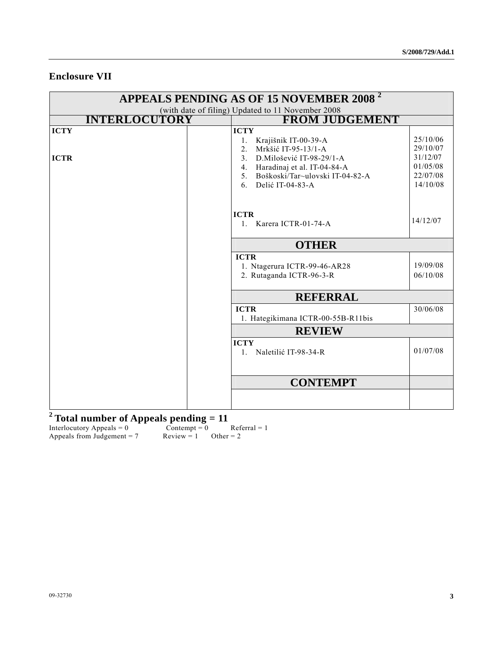# **Enclosure VII**

| <b>APPEALS PENDING AS OF 15 NOVEMBER 2008<sup>2</sup></b> |                                                                                                                                                                                                             |  |  |
|-----------------------------------------------------------|-------------------------------------------------------------------------------------------------------------------------------------------------------------------------------------------------------------|--|--|
|                                                           | (with date of filing) Updated to 11 November 2008                                                                                                                                                           |  |  |
| <b>INTERLOCUTORY</b>                                      | <b>FROM JUDGEMENT</b>                                                                                                                                                                                       |  |  |
| <b>ICTY</b>                                               | <b>ICTY</b><br>25/10/06<br>Krajišnik IT-00-39-A<br>1.<br>29/10/07<br>Mrkšić IT-95-13/1-A<br>2 <sub>1</sub>                                                                                                  |  |  |
| <b>ICTR</b>                                               | 31/12/07<br>D. Milošević IT-98-29/1-A<br>3 <sub>1</sub><br>01/05/08<br>4. Haradinaj et al. IT-04-84-A<br>22/07/08<br>Boškoski/Tar~ulovski IT-04-82-A<br>5 <sub>1</sub><br>14/10/08<br>Delić IT-04-83-A<br>6 |  |  |
|                                                           | <b>ICTR</b><br>14/12/07<br>1. Karera ICTR-01-74-A                                                                                                                                                           |  |  |
|                                                           | <b>OTHER</b>                                                                                                                                                                                                |  |  |
|                                                           | <b>ICTR</b><br>19/09/08<br>1. Ntagerura ICTR-99-46-AR28<br>2. Rutaganda ICTR-96-3-R<br>06/10/08                                                                                                             |  |  |
|                                                           | <b>REFERRAL</b>                                                                                                                                                                                             |  |  |
|                                                           | <b>ICTR</b><br>30/06/08<br>1. Hategikimana ICTR-00-55B-R11bis                                                                                                                                               |  |  |
|                                                           | <b>REVIEW</b>                                                                                                                                                                                               |  |  |
|                                                           | <b>ICTY</b><br>01/07/08<br>Naletilić IT-98-34-R<br>$1_{-}$                                                                                                                                                  |  |  |
|                                                           | <b>CONTEMPT</b>                                                                                                                                                                                             |  |  |
|                                                           |                                                                                                                                                                                                             |  |  |

# **2 Total number of Appeals pending = 11**

Interlocutory Appeals =  $0$  Contempt =  $0$  Referral = 1 Appeals from Judgement =  $7$  Review =  $1$  Other =  $2$